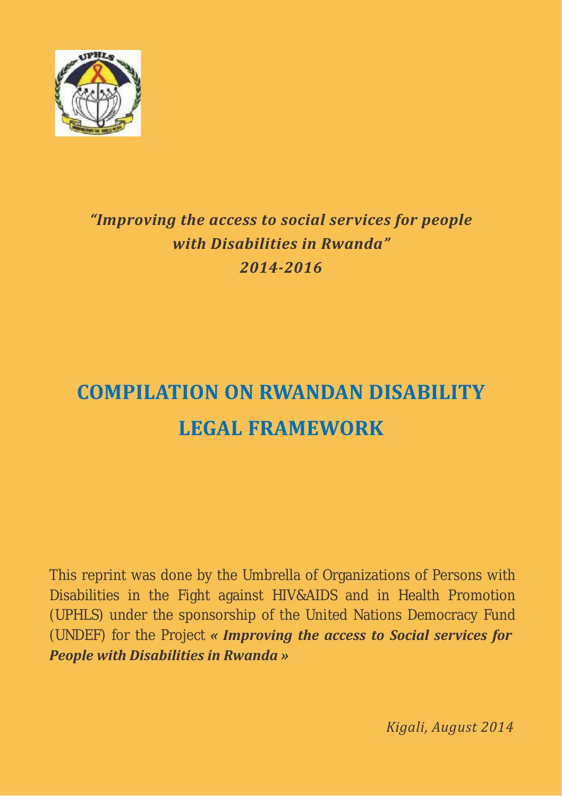

# *"Improving the access to social services for people with Disabilities in Rwanda" 2014-2016*

# **COMPILATION ON RWANDAN DISABILITY LEGAL FRAMEWORK**

This reprint was done by the Umbrella of Organizations of Persons with Disabilities in the Fight against HIV&AIDS and in Health Promotion (UPHLS) under the sponsorship of the United Nations Democracy Fund (UNDEF) for the Project *« Improving the access to Social services for People with Disabilities in Rwanda »*

*Kigali, August 2014*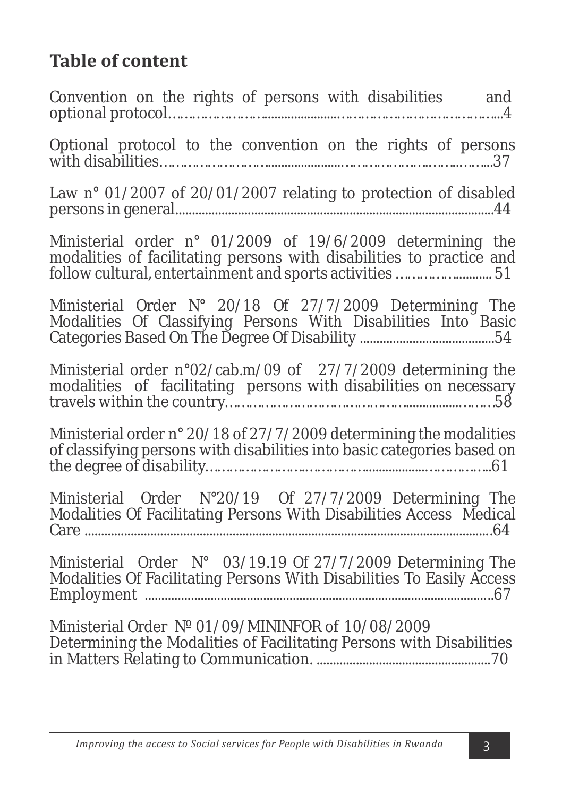# **Table of content**

| Convention on the rights of persons with disabilities<br>and                                                                                  |
|-----------------------------------------------------------------------------------------------------------------------------------------------|
| Optional protocol to the convention on the rights of persons                                                                                  |
| Law n° 01/2007 of 20/01/2007 relating to protection of disabled                                                                               |
| Ministerial order n° 01/2009 of 19/6/2009 determining the<br>modalities of facilitating persons with disabilities to practice and             |
| Ministerial Order N° 20/18 Of 27/7/2009 Determining The<br>Modalities Of Classifying Persons With Disabilities Into Basic                     |
| Ministerial order n°02/cab.m/09 of 27/7/2009 determining the<br>modalities of facilitating persons with disabilities on necessary             |
| Ministerial order n° 20/18 of 27/7/2009 determining the modalities<br>of classifying persons with disabilities into basic categories based on |
| Ministerial Order N°20/19 Of 27/7/2009 Determining The<br>Modalities Of Facilitating Persons With Disabilities Access Medical                 |
| Ministerial Order N° 03/19.19 Of 27/7/2009 Determining The<br>Modalities Of Facilitating Persons With Disabilities To Easily Access           |
| Ministerial Order Nº 01/09/MININFOR of 10/08/2009<br>Determining the Modalities of Facilitating Persons with Disabilities                     |
|                                                                                                                                               |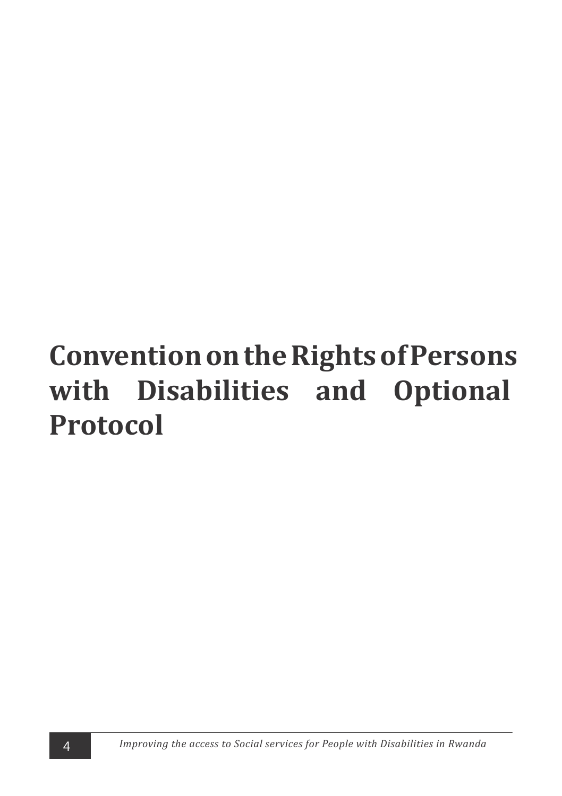# **Convention on the Rights of Persons with Disabilities and Optional Protocol**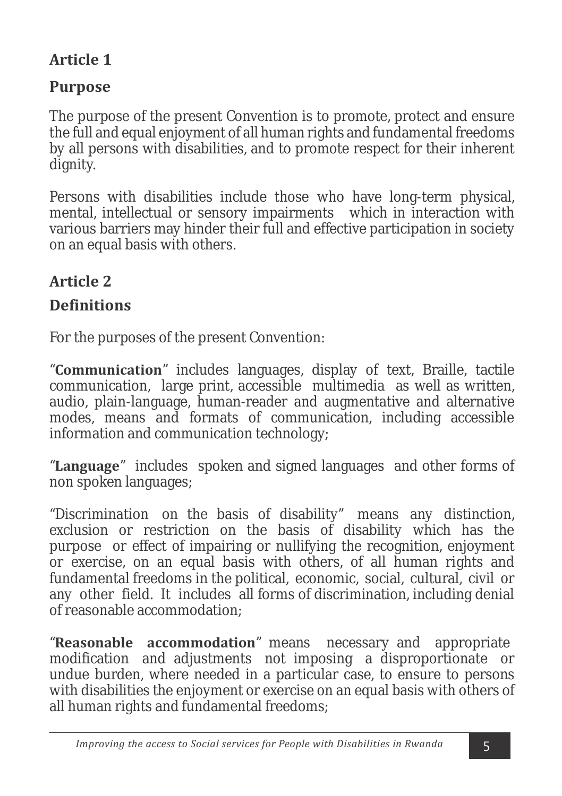# **Purpose**

The purpose of the present Convention is to promote, protect and ensure the full and equal enjoyment of all human rights and fundamental freedoms by all persons with disabilities, and to promote respect for their inherent dignity.

Persons with disabilities include those who have long-term physical, mental, intellectual or sensory impairments which in interaction with various barriers may hinder their full and effective participation in society on an equal basis with others.

## **Article 2**

## **Definitions**

For the purposes of the present Convention:

"**Communication**" includes languages, display of text, Braille, tactile communication, large print, accessible multimedia as well as written, audio, plain-language, human-reader and augmentative and alternative modes, means and formats of communication, including accessible information and communication technology;

"**Language**" includes spoken and signed languages and other forms of non spoken languages;

"Discrimination on the basis of disability" means any distinction, exclusion or restriction on the basis of disability which has the purpose or effect of impairing or nullifying the recognition, enjoyment or exercise, on an equal basis with others, of all human rights and fundamental freedoms in the political, economic, social, cultural, civil or any other field. It includes all forms of discrimination, including denial of reasonable accommodation;

"**Reasonable accommodation**" means necessary and appropriate modification and adjustments not imposing a disproportionate or undue burden, where needed in a particular case, to ensure to persons with disabilities the enjoyment or exercise on an equal basis with others of all human rights and fundamental freedoms;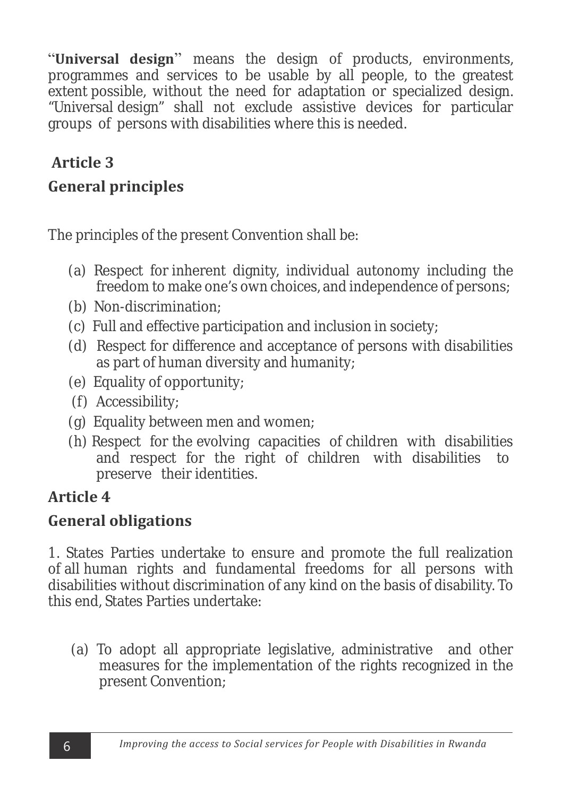"**Universal design**" means the design of products, environments, programmes and services to be usable by all people, to the greatest extent possible, without the need for adaptation or specialized design. "Universal design" shall not exclude assistive devices for particular groups of persons with disabilities where this is needed.

# **Article 3**

## **General principles**

The principles of the present Convention shall be:

- (a) Respect for inherent dignity, individual autonomy including the freedom to make one's own choices, and independence of persons;
- (b) Non-discrimination;
- (c) Full and effective participation and inclusion in society;
- (d) Respect for difference and acceptance of persons with disabilities as part of human diversity and humanity;
- (e) Equality of opportunity;
- (f) Accessibility;
- (g) Equality between men and women;
- (h) Respect for the evolving capacities of children with disabilities and respect for the right of children with disabilities to preserve their identities.

# **Article 4**

### **General obligations**

1. States Parties undertake to ensure and promote the full realization of all human rights and fundamental freedoms for all persons with disabilities without discrimination of any kind on the basis of disability. To this end, States Parties undertake:

(a) To adopt all appropriate legislative, administrative and other measures for the implementation of the rights recognized in the present Convention;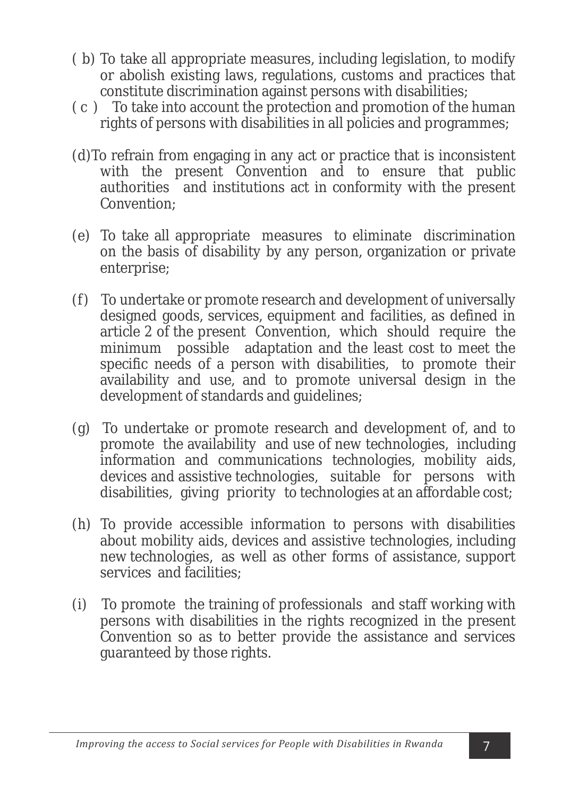- ( b) To take all appropriate measures, including legislation, to modify or abolish existing laws, regulations, customs and practices that constitute discrimination against persons with disabilities;
- ( c ) To take into account the protection and promotion of the human rights of persons with disabilities in all policies and programmes;
- (d)To refrain from engaging in any act or practice that is inconsistent with the present Convention and to ensure that public authorities and institutions act in conformity with the present Convention;
- (e) To take all appropriate measures to eliminate discrimination on the basis of disability by any person, organization or private enterprise;
- (f) To undertake or promote research and development of universally designed goods, services, equipment and facilities, as defined in article 2 of the present Convention, which should require the minimum possible adaptation and the least cost to meet the specific needs of a person with disabilities, to promote their availability and use, and to promote universal design in the development of standards and guidelines;
- (g) To undertake or promote research and development of, and to promote the availability and use of new technologies, including information and communications technologies, mobility aids, devices and assistive technologies, suitable for persons with disabilities, giving priority to technologies at an affordable cost;
- (h) To provide accessible information to persons with disabilities about mobility aids, devices and assistive technologies, including new technologies, as well as other forms of assistance, support services and facilities;
- (i) To promote the training of professionals and staff working with persons with disabilities in the rights recognized in the present Convention so as to better provide the assistance and services guaranteed by those rights.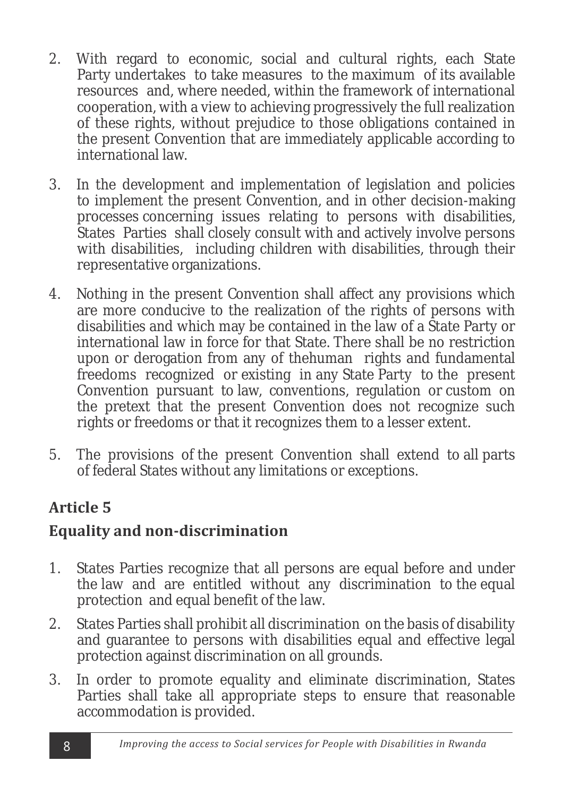- 2. With regard to economic, social and cultural rights, each State Party undertakes to take measures to the maximum of its available resources and, where needed, within the framework of international cooperation, with a view to achieving progressively the full realization of these rights, without prejudice to those obligations contained in the present Convention that are immediately applicable according to international law.
- 3. In the development and implementation of legislation and policies to implement the present Convention, and in other decision-making processes concerning issues relating to persons with disabilities, States Parties shall closely consult with and actively involve persons with disabilities, including children with disabilities, through their representative organizations.
- 4. Nothing in the present Convention shall affect any provisions which are more conducive to the realization of the rights of persons with disabilities and which may be contained in the law of a State Party or international law in force for that State. There shall be no restriction upon or derogation from any of thehuman rights and fundamental freedoms recognized or existing in any State Party to the present Convention pursuant to law, conventions, regulation or custom on the pretext that the present Convention does not recognize such rights or freedoms or that it recognizes them to a lesser extent.
- 5. The provisions of the present Convention shall extend to all parts of federal States without any limitations or exceptions.

### **Equality and non-discrimination**

- 1. States Parties recognize that all persons are equal before and under the law and are entitled without any discrimination to the equal protection and equal benefit of the law.
- 2. States Parties shall prohibit all discrimination on the basis of disability and guarantee to persons with disabilities equal and effective legal protection against discrimination on all grounds.
- 3. In order to promote equality and eliminate discrimination, States Parties shall take all appropriate steps to ensure that reasonable accommodation is provided.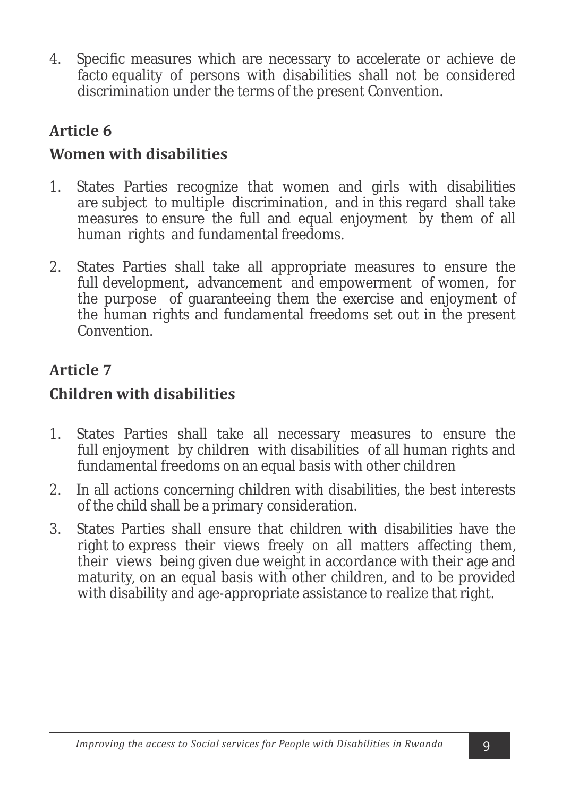4. Specific measures which are necessary to accelerate or achieve de facto equality of persons with disabilities shall not be considered discrimination under the terms of the present Convention.

### **Article 6**

#### **Women with disabilities**

- 1. States Parties recognize that women and girls with disabilities are subject to multiple discrimination, and in this regard shall take measures to ensure the full and equal enjoyment by them of all human rights and fundamental freedoms.
- 2. States Parties shall take allappropriate measures to ensure the full development, advancement and empowerment of women, for the purpose of guaranteeing them the exercise and enjoyment of the human rights and fundamental freedoms set out in the present **Convention**

### **Article 7**

### **Children with disabilities**

- 1. States Parties shall take all necessary measures to ensure the full enjoyment by children with disabilities of all human rights and fundamental freedoms on an equal basis with other children
- 2. In all actions concerning children with disabilities, the best interests of the child shall be a primary consideration.
- 3. States Parties shall ensure that children with disabilities have the right to express their views freely on all matters affecting them, their views being given due weight in accordance with their age and maturity, on an equal basis with other children, and to be provided with disability and age-appropriate assistance to realize that right.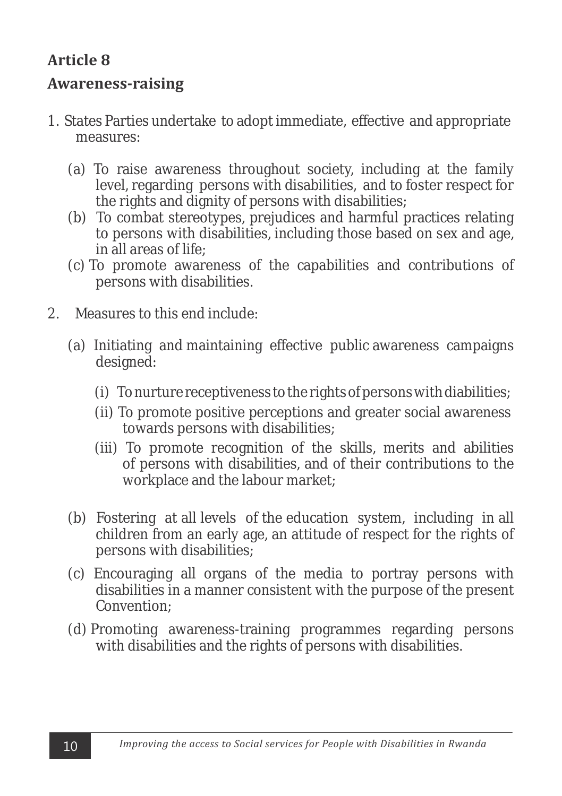### **Awareness-raising**

- 1. States Parties undertake to adopt immediate, effective and appropriate measures:
	- (a) To raise awareness throughout society, including at the family level, regarding persons with disabilities, and to foster respect for the rights and dignity of persons with disabilities;
	- (b) To combat stereotypes, prejudices and harmful practices relating to persons with disabilities, including those based on sex and age, in all areas of life;
	- (c) To promote awareness of the capabilities and contributions of persons with disabilities.
- 2. Measures to this end include:
	- (a) Initiating and maintaining effective public awareness campaigns designed:
		- (i) To nurture receptiveness to the rights of persons with diabilities;
		- (ii) To promote positive perceptions and greater social awareness towards persons with disabilities;
		- (iii) To promote recognition of the skills, merits and abilities of persons with disabilities, and of their contributions to the workplace and the labour market;
	- (b) Fostering at all levels of the education system, including in all children from an early age, an attitude of respect for the rights of persons with disabilities;
	- (c) Encouraging all organs of the media to portray persons with disabilities in a manner consistent with the purpose of the present Convention;
	- (d) Promoting awareness-training programmes regarding persons with disabilities and the rights of persons with disabilities.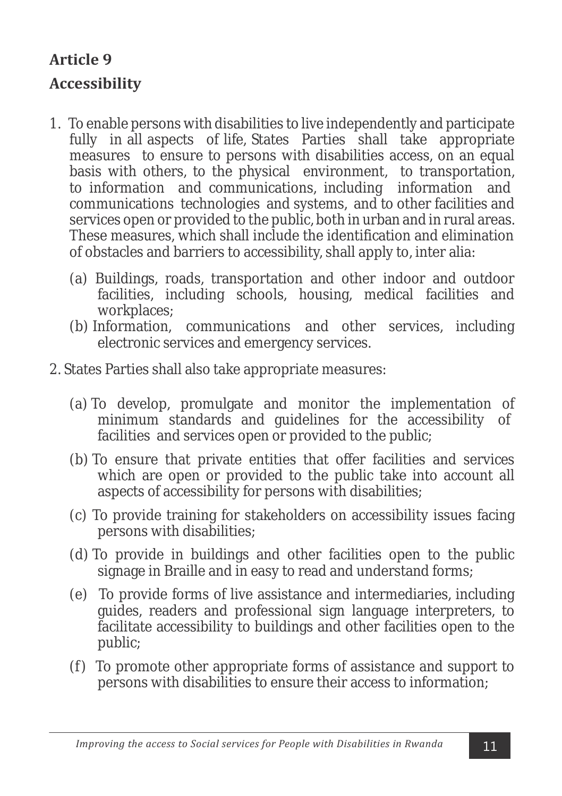## **Article 9 Accessibility**

- 1. To enable persons with disabilities to live independently and participate fully in all aspects of life, States Parties shall take appropriate measures to ensure to persons with disabilities access, on an equal basis with others, to the physical environment, to transportation, to information and communications including information and to information and communications, including information communications technologies and systems, and to other facilities and services open or provided to the public, both in urban and in rural areas. These measures, which shall include the identification and elimination of obstacles and barriers to accessibility, shall apply to, inter alia:
	- (a) Buildings, roads, transportation and other indoor and outdoor facilities, including schools, housing, medical facilities and workplaces;
	- (b) Information, communications and other services, including electronic services and emergency services.
- 2. States Parties shall also take appropriate measures:
	- (a) To develop, promulgate and monitor the implementation of minimum standards and guidelines for the accessibility of facilities and services open or provided to the public;
	- (b) To ensure that private entities that offer facilities and services which are open or provided to the public take into account all aspects of accessibility for persons with disabilities;
	- (c) To provide training for stakeholders on accessibility issues facing persons with disabilities;
	- (d) To provide in buildings and other facilities open to the public signage in Braille and in easy to read and understand forms;
	- (e) To provide forms of live assistance and intermediaries, including guides, readers and professional sign language interpreters, to facilitate accessibility to buildings and other facilities open to the public;
	- (f) To promote other appropriate forms of assistance and support to persons with disabilities to ensure their access to information;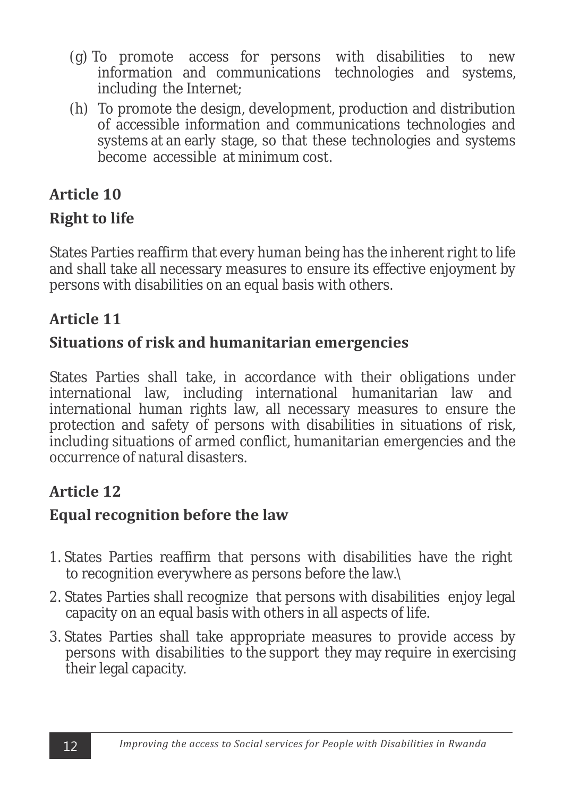- (g) To promote access for persons with disabilities to new information and communications technologies and systems, including the Internet;
- (h) To promote the design, development, production and distribution of accessible information and communications technologies and systems at an early stage, so that these technologies and systems become accessible at minimum cost.

# **Right to life**

States Parties reaffirm that every human being has the inherent right to life and shall take all necessary measures to ensure its effective enjoyment by persons with disabilities on an equal basis with others.

### **Article 11**

### **Situations of risk and humanitarian emergencies**

States Parties shall take, in accordance with their obligations under international law, including international humanitarian law and international human rights law, all necessary measures to ensure the protection and safety of persons with disabilities in situations of risk. including situations of armed conflict, humanitarian emergencies and the occurrence of natural disasters.

### **Article 12**

### **Equal recognition before the law**

- 1. States Parties reaffirm that persons with disabilities have the right to recognition everywhere as persons before the law.\
- 2. States Parties shall recognize that persons with disabilities enjoy legal capacity on an equal basis with others in all aspects of life.
- 3. States Parties shall take appropriate measures to provide access by persons with disabilities to the support they may require in exercising their legal capacity.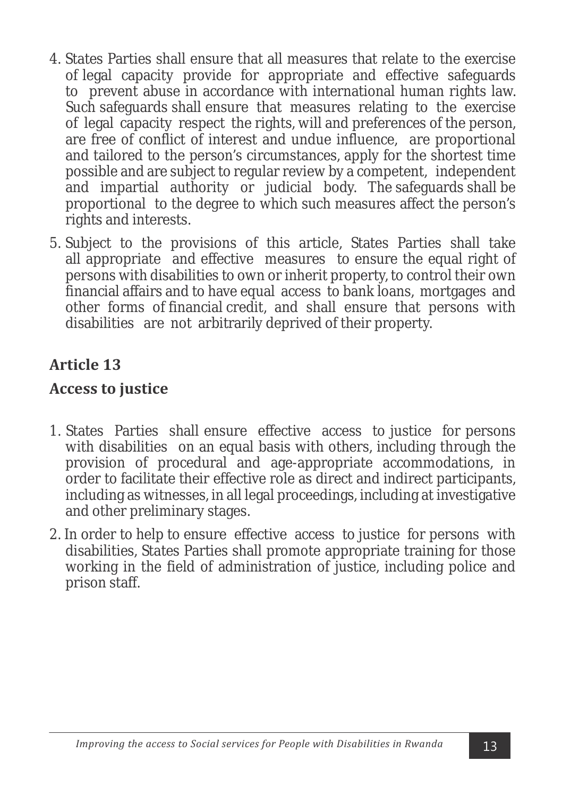- 4. States Parties shall ensure that all measures that relate to the exercise of legal capacity provide for appropriate and effective safeguards to prevent abuse in accordance with international human rights law. Such safeguards shall ensure that measures relating to the exercise of legal capacity respect the rights, will and preferences of the person, are free of conflict of interest and undue influence, are proportional and tailored to the person's circumstances, apply for the shortest time possible and are subject to regular review by a competent, independent and impartial authority or judicial body. The safeguards shall be proportional to the degree to which such measures affect the person's rights and interests.
- 5. Subject to the provisions of this article, States Parties shall take all appropriate and effective measures to ensure the equal right of persons with disabilities to own or inherit property, to control their own financial affairs and to have equal access to bank loans, mortgages and other forms of financial credit, and shall ensure that persons with disabilities are not arbitrarily deprived of their property.

## **Access to justice**

- 1. States Parties shall ensure effective access to justice for persons with disabilities on an equal basis with others, including through the provision of procedural and age-appropriate accommodations, in order to facilitate their effective role as direct and indirect participants, including as witnesses, in all legal proceedings, including at investigative and other preliminary stages.
- 2. In order to help to ensure effective access to justice for persons with disabilities, States Parties shall promote appropriate training for those working in the field of administration of justice, including police and prison staff.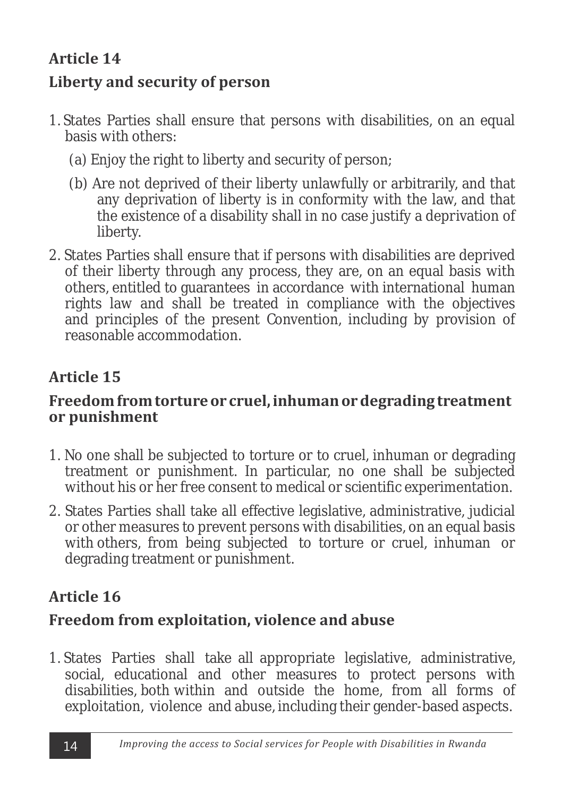# **Liberty and security of person**

- 1. States Parties shall ensure that persons with disabilities, on an equal basis with others:
	- (a) Enjoy the right to liberty and security of person;
	- (b) Are not deprived of their liberty unlawfully or arbitrarily, and that any deprivation of liberty is in conformity with the law, and that the existence of a disability shall in no case justify a deprivation of liberty.
- 2. States Parties shall ensure that if persons with disabilities are deprived of their liberty through any process, they are, on an equal basis with others, entitled to guarantees in accordance with international human rights law and shall be treated in compliance with the objectives and principles of the present Convention, including by provision of reasonable accommodation.

# **Article 15**

#### **Freedomfromtortureor cruel,inhumanordegrading treatment or punishment**

- 1. No one shall be subjected to torture or to cruel, inhuman or degrading treatment or punishment. In particular, no one shall be subjected without his or her free consent to medical or scientific experimentation.
- 2. States Parties shall take all effective legislative, administrative, judicial or other measures to prevent persons with disabilities, on an equal basis with others, from being subjected to torture or cruel, inhuman or degrading treatment or punishment.

# **Article 16**

### **Freedom from exploitation, violence and abuse**

1. States Parties shall take all appropriate legislative, administrative, social, educational and other measures to protect persons with disabilities, both within and outside the home, from all forms of exploitation, violence and abuse, including their gender-based aspects.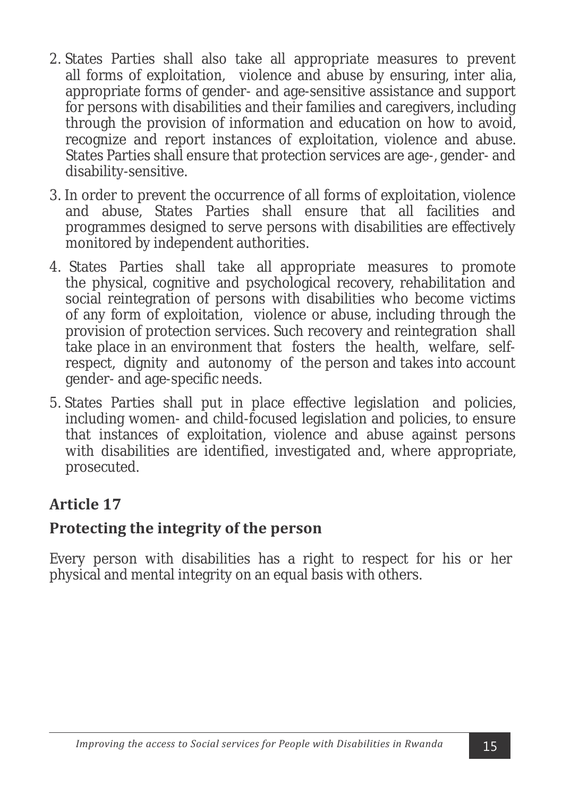- 2. States Parties shall also take all appropriate measures to prevent all forms of exploitation, violence and abuse by ensuring, inter alia, appropriate forms of gender- and age-sensitive assistance and support for persons with disabilities and their families and caregivers, including through the provision of information and education on how to avoid, recognize and report instances of exploitation, violence and abuse. States Parties shall ensure that protection services are age-, gender- and disability-sensitive.
- 3. In order to prevent the occurrence of all forms of exploitation, violence and abuse, States Parties shall ensure that all facilities and programmes designed to serve persons with disabilities are effectively monitored by independent authorities.
- 4. States Parties shall take all appropriate measures to promote the physical, cognitive and psychological recovery, rehabilitation and social reintegration of persons with disabilities who become victims of any form of exploitation, violence or abuse, including through the provision of protection services. Such recovery and reintegration shall take place in an environment that fosters the health, welfare, self respect, dignity and autonomy of the person and takes into account gender- and age-specific needs.
- 5. States Parties shall put in place effective legislation and policies, including women- and child-focused legislation and policies, to ensure that instances of exploitation, violence and abuse against persons with disabilities are identified, investigated and, where appropriate, prosecuted.

# **Protecting the integrity of the person**

Every person with disabilities has a right to respect for his or her physical and mental integrity on an equal basis with others.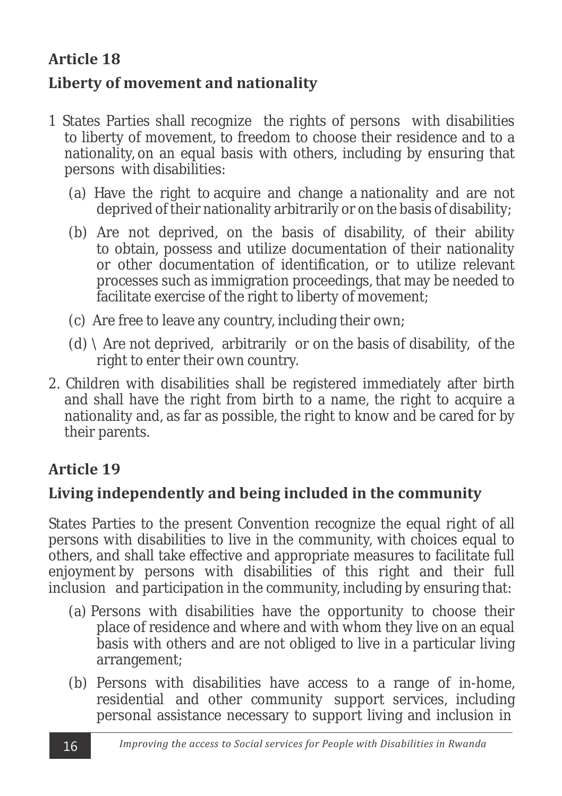## **Liberty of movement and nationality**

- 1 States Parties shall recognize the rights of persons with disabilities to liberty of movement, to freedom to choose their residence and to a nationality, on an equal basis with others, including by ensuring that persons with disabilities:
	- (a) Have the right to acquire and change a nationality and are not deprived of their nationality arbitrarily or on the basis of disability;
	- (b) Are not deprived, on the basis of disability, of their ability to obtain, possess and utilize documentation of their nationality or other documentation of identification, or to utilize relevant processes such as immigration proceedings, that may be needed to facilitate exercise of the right to liberty of movement;
	- (c) Are free to leave any country, including their own;
	- (d)  $\setminus$  Are not deprived, arbitrarily or on the basis of disability, of the right to enter their own country.
- 2. Children with disabilities shall be registered immediately after birth and shall have the right from birth to a name, the right to acquire a nationality and, as far as possible, the right to know and be cared for by their parents.

# **Article 19**

# **Living independently and being included in the community**

States Parties to the present Convention recognize the equal right of all persons with disabilities to live in the community, with choices equal to others, and shall take effective and appropriate measures to facilitate full enjoyment by persons with disabilities of this right and their full inclusion and participation in the community, including by ensuring that:

- (a) Persons with disabilities have the opportunity to choose their place of residence and where and with whom they live on an equal basis with others and are not obliged to live in a particular living arrangement;
- (b) Persons with disabilities have access to a range of in-home, residential and other community support services, including personal assistance necessary to support living and inclusion in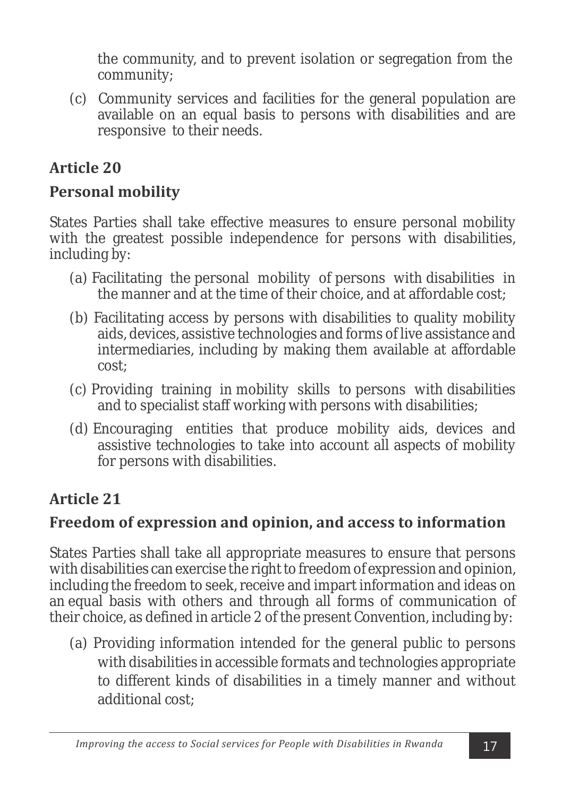the community, and to prevent isolation or segregation from the community;

(c) Community services and facilities for the general population are available on an equal basis to persons with disabilities and are responsive to their needs.

# **Article 20**

### **Personal mobility**

States Parties shall take effective measures to ensure personal mobility with the greatest possible independence for persons with disabilities, including by:

- (a) Facilitating the personal mobility of persons with disabilities in the manner and at the time of their choice, and at affordable cost;
- (b) Facilitating access by persons with disabilities to quality mobility aids, devices, assistive technologies and forms of live assistance and intermediaries, including by making them available at affordable cost;
- (c) Providing training in mobility skills to persons with disabilities and to specialist staff working with persons with disabilities;
- (d) Encouraging entities that produce mobility aids, devices and assistive technologies to take into account all aspects of mobility for persons with disabilities.

### **Article 21**

### **Freedom of expression and opinion, and access to information**

States Parties shall take all appropriate measures to ensure that persons with disabilities can exercise the right to freedom of expression and opinion, including the freedom to seek, receive and impart information and ideas on an equal basis with others and through all forms of communication of their choice, as defined in article 2 of the present Convention, including by:

(a) Providing information intended for the general public to persons with disabilities in accessible formats and technologies appropriate to different kinds of disabilities in a timely manner and without additional cost;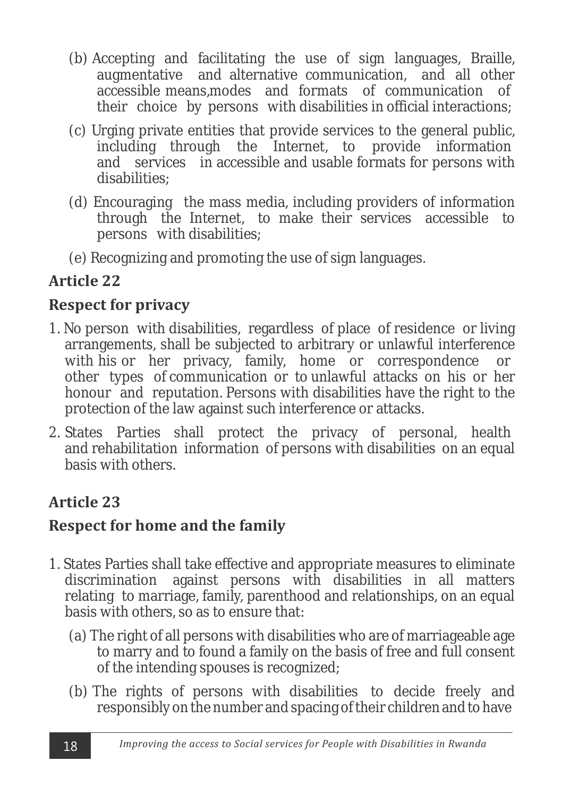- (b) Accepting and facilitating the use of sign languages, Braille, augmentative and alternative communication, and all other accessible means,modes and formats of communication of their choice by persons with disabilities in official interactions;
- (c) Urging private entities that provide services to the general public, including through the Internet, to provide information and services in accessible and usable formats for persons with disabilities;
- (d) Encouraging the mass media, including providers of information through the Internet, to make their services accessible to persons with disabilities;
- (e) Recognizing and promoting the use of sign languages.

## **Respect for privacy**

- 1. No person with disabilities, regardless of place ofresidence or living arrangements, shall be subjected to arbitrary or unlawful interference with his or her privacy, family, home or correspondence or other types of communication or to unlawful attacks on his or her honour and reputation. Persons with disabilities have the right to the protection of the law against such interference or attacks.
- 2. States Parties shall protect the privacy of personal, health and rehabilitation information of persons with disabilities on an equal basis with others.

# **Article 23**

# **Respect for home and the family**

- 1. States Parties shall take effective and appropriate measures to eliminate discrimination against persons with disabilities in all matters relating to marriage, family, parenthood and relationships, on an equal basis with others, so as to ensure that:
	- (a) The right of all persons with disabilities who are of marriageable age to marry and to found a family on the basis of free and full consent of the intending spouses is recognized;
	- (b) The rights of persons with disabilities to decide freely and responsibly on the number and spacing of their children and to have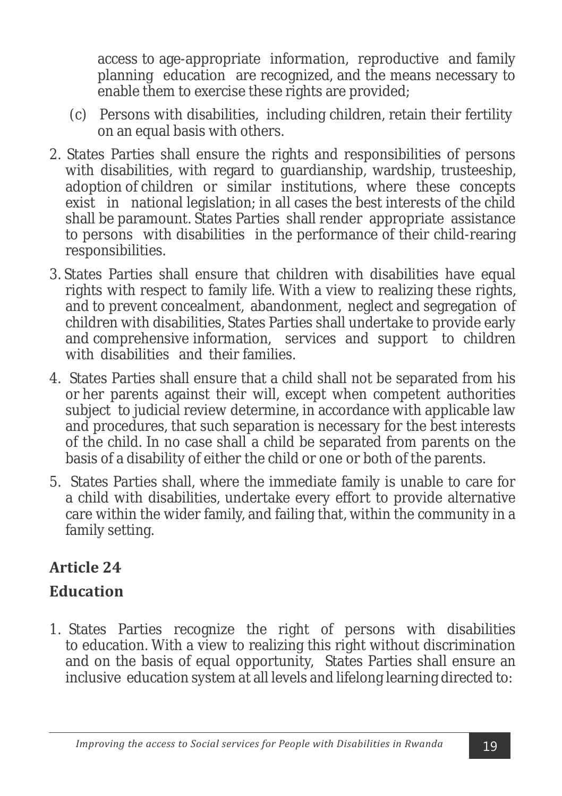access to age-appropriate information, reproductive and family planning education are recognized, and the means necessary to enable them to exercise these rights are provided;

- (c) Persons with disabilities, including children, retain their fertility on an equal basis with others.
- 2. States Parties shall ensure the rights and responsibilities of persons with disabilities, with regard to guardianship, wardship, trusteeship, adoption of children or similar institutions, where these concepts exist in national legislation; in all cases the best interests of the child shall be paramount. States Parties shall render appropriate assistance to persons with disabilities in the performance of their child-rearing responsibilities.
- 3. States Parties shall ensure that children with disabilities have equal rights with respect to family life. With a view to realizing these rights, and to prevent concealment, abandonment, neglect and segregation of children with disabilities, States Parties shall undertake to provide early and comprehensive information, services and support to children with disabilities and their families.
- 4. States Parties shall ensure that a child shall not be separated from his or her parents against their will, except when competent authorities subject to judicial review determine, in accordance with applicable law and procedures, that such separation is necessary for the best interests of the child. In no case shall a child be separated from parents on the basis of a disability of either the child or one or both of the parents.
- 5. States Parties shall, where the immediate family is unable to care for a child with disabilities, undertake every effort to provide alternative care within the wider family, and failing that, within the community in a family setting.

# **Article 24**

# **Education**

1. States Parties recognize the right of persons with disabilities to education. With a view to realizing this right without discrimination and on the basis of equal opportunity, States Parties shall ensure an inclusive education system at all levels and lifelong learning directed to: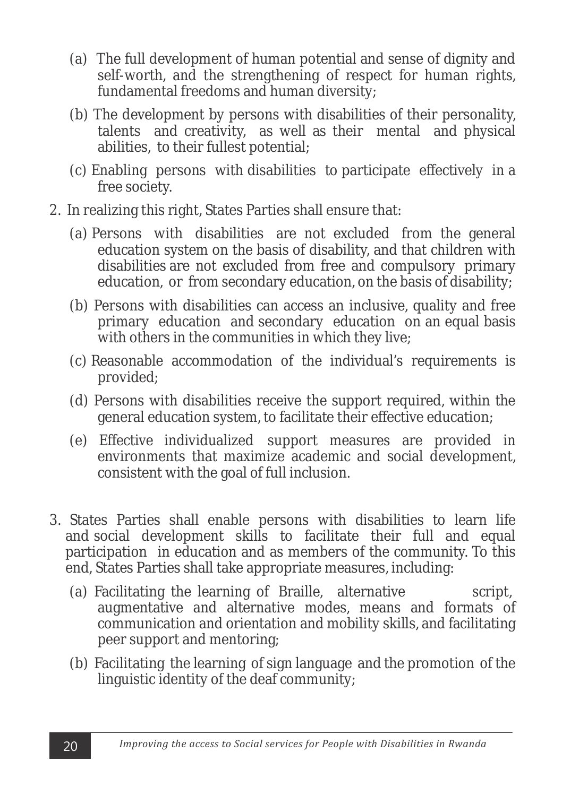- (a) The full development of human potential and sense of dignity and self-worth, and the strengthening of respect for human rights, fundamental freedoms and human diversity;
- (b) The development by persons with disabilities of their personality, talents and creativity, as well as their mental and physical abilities, to their fullest potential;
- (c) Enabling persons with disabilities to participate effectively in a free society.
- 2. In realizing this right, States Parties shall ensure that:
	- (a) Persons with disabilities are not excluded from the general education system on the basis of disability, and that children with disabilities are not excluded from free and compulsory primary education, or from secondary education, on the basis of disability;
	- (b) Persons with disabilities can access an inclusive, quality and free primary education and secondary education on an equal basis with others in the communities in which they live;
	- (c) Reasonable accommodation of the individual's requirements is provided;
	- (d) Persons with disabilities receive the support required, within the general education system, to facilitate their effective education;
	- (e) Effective individualized support measures are provided in environments that maximize academic and social development. consistent with the goal of full inclusion.
- 3. States Parties shall enable persons with disabilities to learn life and social development skills to facilitate their full and equal participation in education and as members of the community. To this end, States Parties shall take appropriate measures, including:
	- (a) Facilitating the learning of Braille, alternative script, augmentative and alternative modes, means and formats of communication and orientation and mobility skills, and facilitating peer support and mentoring;
	- (b) Facilitating the learning of sign language and the promotion of the linguistic identity of the deaf community;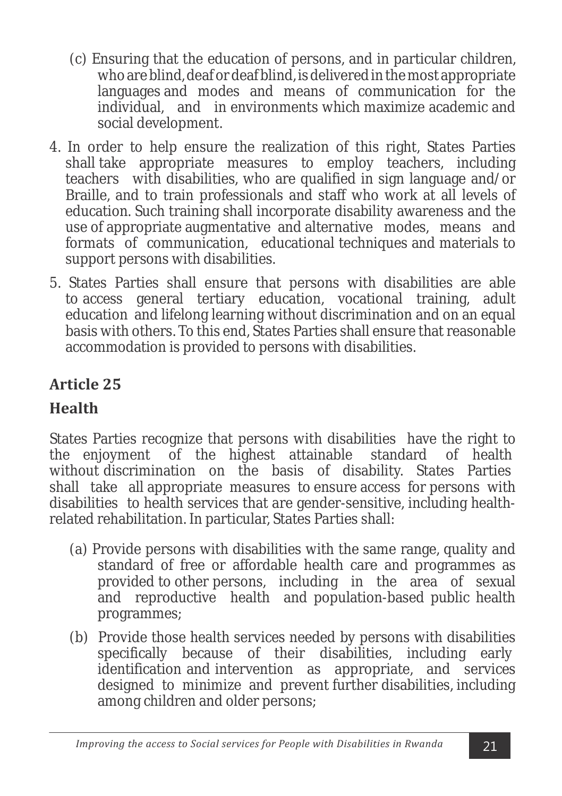- (c) Ensuring that the education of persons, and in particular children, who are blind, deaf or deaf blind, is delivered in the most appropriate languages and modes and means of communication for the individual, and in environments which maximize academic and social development.
- 4. In order to help ensure the realization of this right, States Parties shall take appropriate measures to employ teachers, including teachers with disabilities, who are qualified in sign language and/or Braille, and to train professionals and staff who work at all levels of education. Such training shall incorporate disability awareness and the use of appropriate augmentative and alternative modes, means and formats of communication, educational techniques and materials to support persons with disabilities.
- 5. States Parties shall ensure that persons with disabilities are able to access general tertiary education, vocational training, adult education and lifelong learning without discrimination and on an equal basis with others. To this end, States Parties shall ensure that reasonable accommodation is provided to persons with disabilities.

# **Health**

States Parties recognize that persons with disabilities have the right to the enjoyment of the highest attainable standard of health without discrimination on the basis of disability. States Parties shall take all appropriate measures to ensure access for persons with disabilities to health services that are gender-sensitive, including health related rehabilitation. In particular, States Parties shall:

- (a) Provide persons with disabilities with the same range, quality and standard of free or affordable health care and programmes as provided to other persons, including in the area of sexual and reproductive health and population-based public health programmes;
- (b) Provide those health services needed by persons with disabilities specifically because of their disabilities, including early identification and intervention as appropriate, and services designed to minimize and prevent further disabilities, including among children and older persons;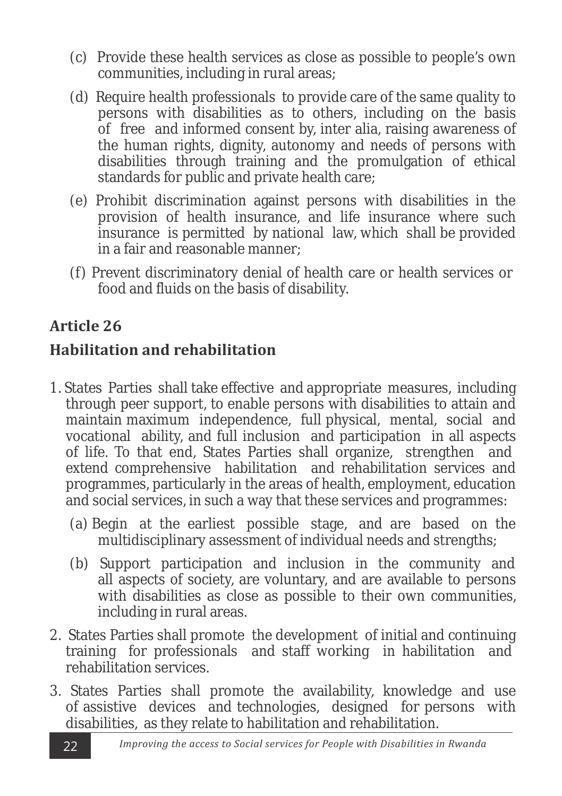- (c) Provide these health services as close as possible to people's own communities, including in rural areas;
- (d) Require health professionals to provide care of the same quality to persons with disabilities as to others, including on the basis of free and informed consent by, inter alia, raising awareness of the human rights, dignity, autonomy and needs of persons with disabilities through training and the promulgation of ethical standards for public and private health care;
- (e) Prohibit discrimination against persons with disabilities in the provision of health insurance, and life insurance where such insurance is permitted by national law, which shall be provided in a fair and reasonable manner;
- (f) Prevent discriminatory denial of health care or health services or food and fluids on the basis of disability.

## **Habilitation and rehabilitation**

- 1. States Parties shall take effective and appropriate measures, including through peer support, to enable persons with disabilities to attain and maintain maximum independence, full physical, mental, social and vocational ability, and full inclusion and participation in all aspects of life. To that end, States Parties shall organize, strengthen and extend comprehensive habilitation and rehabilitation services and programmes, particularly in the areas of health, employment, education and social services, in such a way that these services and programmes:
	- (a) Begin at the earliest possible stage, and are based on the multidisciplinary assessment of individual needs and strengths;
	- (b) Support participation and inclusion in the community and all aspects of society, are voluntary, and are available to persons with disabilities as close as possible to their own communities, including in rural areas.
- 2. States Parties shall promote the development of initial and continuing training for professionals and staff working in habilitation and rehabilitation services.
- 3. States Parties shall promote the availability, knowledge and use of assistive devices and technologies, designed for persons with disabilities, as they relate to habilitation and rehabilitation.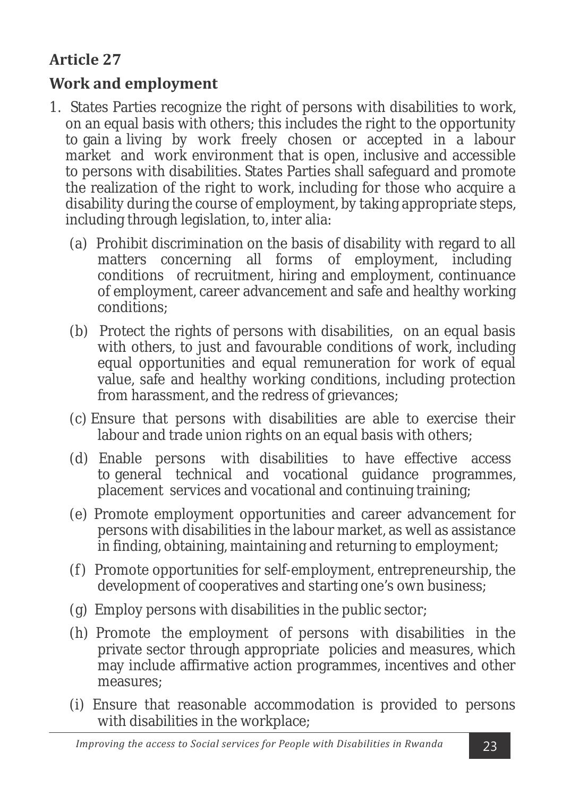# **Work and employment**

- 1. States Parties recognize the right of persons with disabilities to work, on an equal basis with others; this includes the right to the opportunity to gain a living by work freely chosen or accepted in a labour market and work environment that is open, inclusive and accessible to persons with disabilities. States Parties shall safeguard and promote the realization of the right to work, including for those who acquire a disability during the course of employment, by taking appropriate steps, including through legislation, to, inter alia:
	- (a) Prohibit discrimination on the basis of disability with regard to all matters concerning all forms of employment, conditions of recruitment, hiring and employment, continuance of employment, career advancement and safe and healthy working conditions;
	- (b) Protect the rights of persons with disabilities, on an equal basis with others, to just and favourable conditions of work, including equal opportunities and equal remuneration for work of equal value, safe and healthy working conditions, including protection from harassment, and the redress of grievances;
	- (c) Ensure that persons with disabilities are able to exercise their labour and trade union rights on an equal basis with others;
	- (d) Enable persons with disabilities to have effective access to general technical and vocational guidance programmes, placement services and vocational and continuing training;
	- (e) Promote employment opportunities and career advancement for persons with disabilities in the labour market, as well as assistance in finding, obtaining, maintaining and returning to employment;
	- (f) Promote opportunities for self-employment, entrepreneurship, the development of cooperatives and starting one's own business;
	- (g) Employ persons with disabilities in the public sector;
	- (h) Promote the employment of persons with disabilities in the private sector through appropriate policies and measures, which may include affirmative action programmes, incentives and other measures;
	- (i) Ensure that reasonable accommodation is provided to persons with disabilities in the workplace;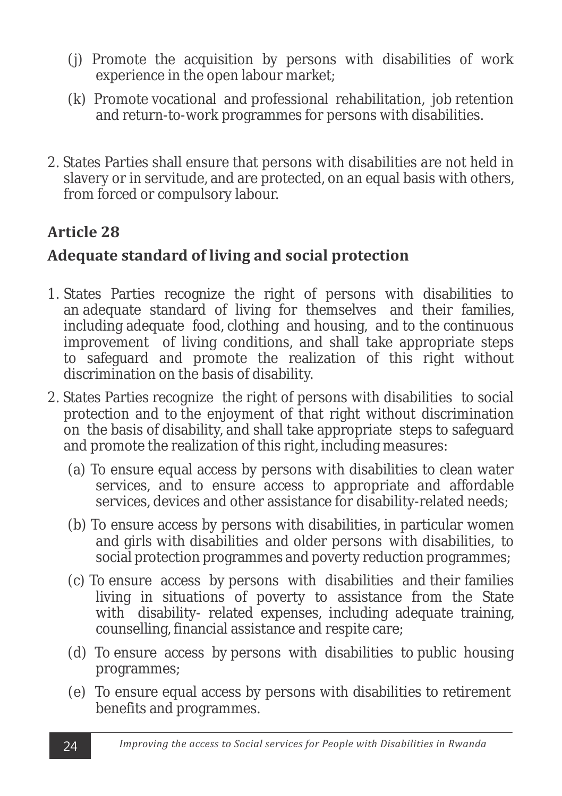- (j) Promote the acquisition by persons with disabilities of work experience in the open labour market;
- (k) Promote vocational and professional rehabilitation, job retention and return-to-work programmes for persons with disabilities.
- 2. States Parties shall ensure that persons with disabilities are not held in slavery or in servitude, and are protected, on an equal basis with others, from forced or compulsory labour.

### **Adequate standard of living and social protection**

- 1. States Parties recognize the right of persons with disabilities to an adequate standard of living for themselves and their families, including adequate food, clothing and housing, and to the continuous improvement of living conditions, and shall take appropriate steps to safeguard and promote the realization of this right without discrimination on the basis of disability.
- 2. States Parties recognize the right of persons with disabilities to social protection and to the enjoyment of that right without discrimination on the basis of disability, and shall take appropriate steps to safeguard and promote the realization of this right, including measures:
	- (a) To ensure equal access by persons with disabilities to clean water services, and to ensure access to appropriate and affordable services, devices and other assistance for disability-related needs;
	- (b) To ensure access by persons with disabilities, in particular women and girls with disabilities and older persons with disabilities, to social protection programmes and poverty reduction programmes;
	- (c) To ensure access by persons with disabilities and their families living in situations of poverty to assistance from the State with disability- related expenses, including adequate training, counselling, financial assistance and respite care;
	- (d) To ensure access by persons with disabilities to public housing programmes;
	- (e) To ensure equal access by persons with disabilities to retirement benefits and programmes.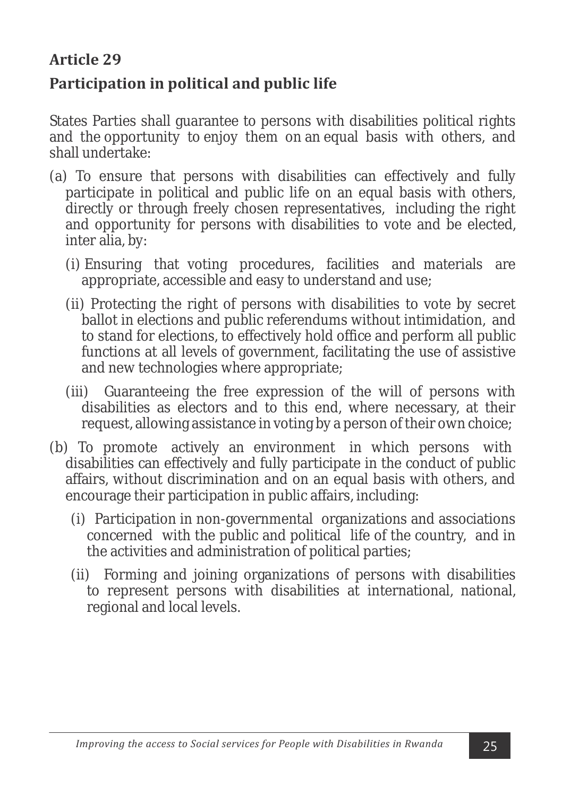# **Participation in political and public life**

States Parties shall guarantee to persons with disabilities political rights and the opportunity to enjoy them on an equal basis with others, and shall undertake:

- (a) To ensure that persons with disabilities can effectively and fully participate in political and public life on an equal basis with others, directly or through freely chosen representatives, including the right and opportunity for persons with disabilities to vote and be elected, inter alia, by:
	- (i) Ensuring that voting procedures, facilities and materials are appropriate, accessible and easy to understand and use;
	- (ii) Protecting the right of persons with disabilities to vote by secret ballot in elections and public referendums without intimidation, and to stand for elections, to effectively hold office and perform all public functions at all levels of government, facilitating the use of assistive and new technologies where appropriate;
	- (iii) Guaranteeing the free expression of the will of persons with disabilities as electors and to this end, where necessary, at their request, allowing assistance in voting by a person of their own choice;
- (b) To promote actively an environment in which persons with disabilities can effectively and fully participate in the conduct of public affairs, without discrimination and on an equal basis with others, and encourage their participation in public affairs, including:
	- (i) Participation in non-governmental organizations and associations concerned with the public and political life of the country, and in the activities and administration of political parties;
	- (ii) Forming and joining organizations of persons with disabilities to represent persons with disabilities at international, national, regional and local levels.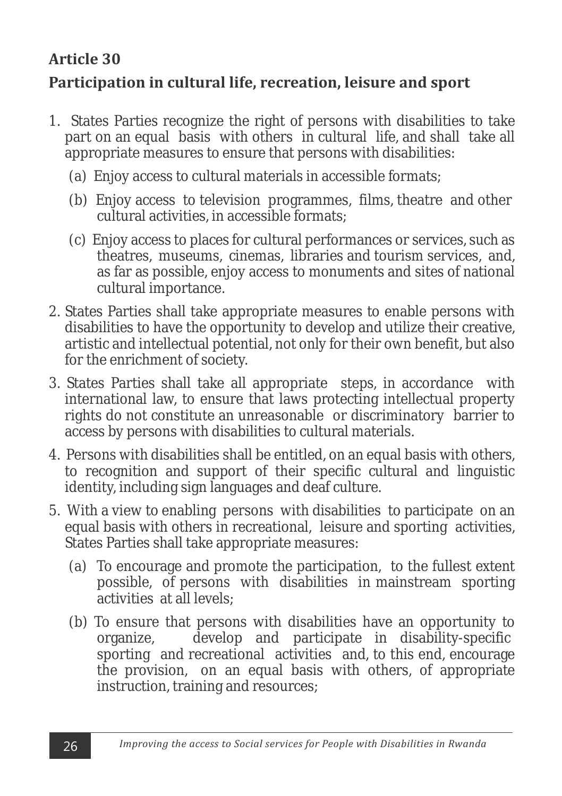# **Participation in cultural life, recreation, leisure and sport**

- 1. States Parties recognize the right of persons with disabilities to take part on an equal basis with others in cultural life, and shall take all appropriate measures to ensure that persons with disabilities:
	- (a) Enjoy access to cultural materials in accessible formats;
	- (b) Enjoy access to television programmes, films, theatre and other cultural activities, in accessible formats;
	- (c) Enjoy access to places for cultural performances or services, such as theatres, museums, cinemas, libraries and tourism services, and, as far as possible, enjoy access to monuments and sites of national cultural importance.
- 2. States Parties shall take appropriate measures to enable persons with disabilities to have the opportunity to develop and utilize their creative, artistic and intellectual potential, not only for their own benefit, but also for the enrichment of society.
- 3. States Parties shall take all appropriate steps, in accordance with international law, to ensure that laws protecting intellectual property rights do not constitute an unreasonable or discriminatory barrier to access by persons with disabilities to cultural materials.
- 4. Persons with disabilities shall be entitled, on an equal basis with others, to recognition and support of their specific cultural and linguistic identity, including sign languages and deaf culture.
- 5. With a view to enabling persons with disabilities to participate on an equal basis with others in recreational, leisure and sporting activities, States Parties shall take appropriate measures:
	- (a) To encourage and promote the participation, to the fullest extent possible, of persons with disabilities in mainstream sporting activities at all levels;
	- (b) To ensure that persons with disabilities have an opportunity to organize. <br>develop and participate in disability-specific develop and participate in disability-specific sporting and recreational activities and, to this end, encourage the provision, on an equal basis with others, of appropriate instruction, training and resources;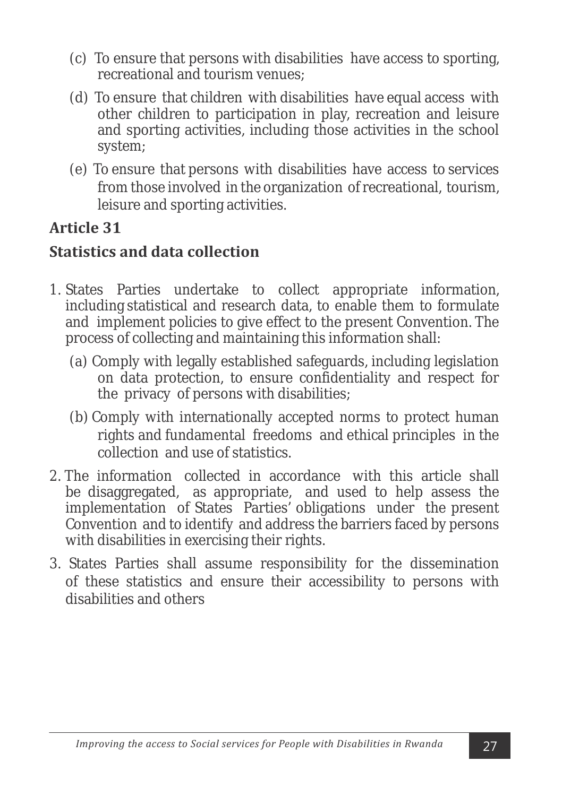- (c) To ensure that persons with disabilities have access to sporting, recreational and tourism venues;
- (d) To ensure that children with disabilities have equal access with other children to participation in play, recreation and leisure and sporting activities, including those activities in the school system;
- (e) To ensure that persons with disabilities have access to services from those involved in the organization of recreational, tourism, leisure and sporting activities.

### **Statistics and data collection**

- 1. States Parties undertake to collect appropriate information, including statistical and research data, to enable them to formulate and implement policies to give effect to the present Convention. The process of collecting and maintaining this information shall:
	- (a) Comply with legally established safeguards, including legislation on data protection, to ensure confidentiality and respect for the privacy of persons with disabilities;
	- (b) Comply with internationally accepted norms to protect human rights and fundamental freedoms and ethical principles in the collection and use of statistics.
- 2. The information collected in accordance with this article shall be disaggregated, as appropriate, and used to help assess the implementation of States Parties' obligations under the present Convention and to identify and address the barriers faced by persons with disabilities in exercising their rights.
- 3. States Parties shall assume responsibility for the dissemination of these statistics and ensure their accessibility to persons with disabilities and others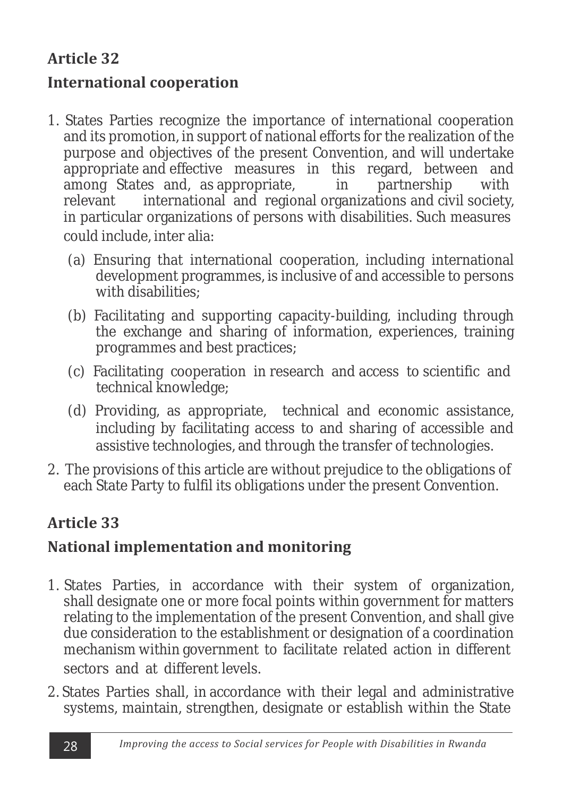## **International cooperation**

- 1. States Parties recognize the importance of international cooperation and its promotion, in support of national efforts for the realization of the purpose and objectives of the present Convention, and will undertake appropriate and effective measures in this regard, between and among States and as appropriate. among States and, as appropriate, in partnership with relevant international and regional organizations and civil society, in particular organizations of persons with disabilities. Such measures could include, inter alia:
	- (a) Ensuring that international cooperation, including international development programmes, is inclusive of and accessible to persons with disabilities;
	- (b) Facilitating and supporting capacity-building, including through the exchange and sharing of information, experiences, training programmes and best practices;
	- (c) Facilitating cooperation in research and access to scientific and technical knowledge;
	- (d) Providing, as appropriate, technical and economic assistance, including by facilitating access to and sharing of accessible and assistive technologies, and through the transfer of technologies.
- 2. The provisions of this article are without prejudice to the obligations of each State Party to fulfil its obligations under the present Convention.

# **Article 33**

# **National implementation and monitoring**

- 1. States Parties, in accordance with their system of organization, shall designate one or more focal points within government for matters relating to the implementation of the present Convention, and shall give due consideration to the establishment or designation of a coordination mechanism within government to facilitate related action in different sectors and at different levels.
- 2. States Parties shall, in accordance with their legal and administrative systems, maintain, strengthen, designate or establish within the State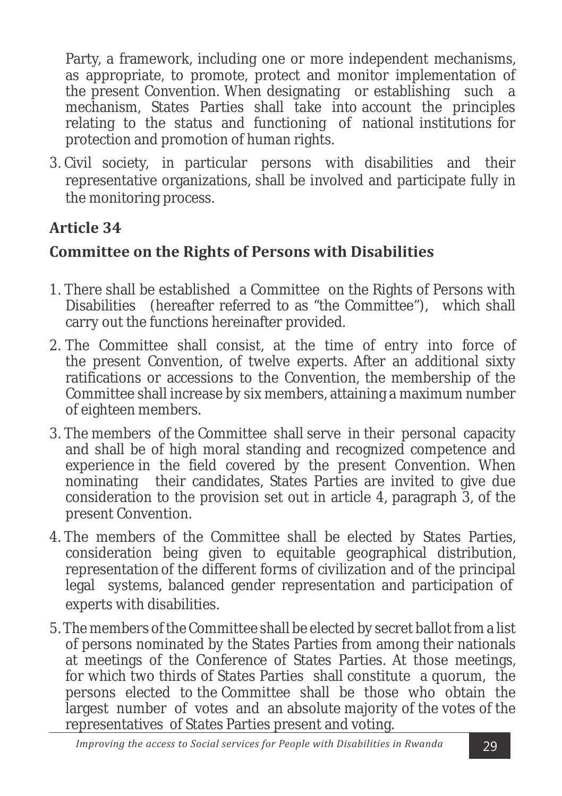Party, a framework, including one or more independent mechanisms, as appropriate, to promote, protect and monitor implementation of the present Convention. When designating or establishing such a mechanism, States Parties shall take into account the principles relating to the status and functioning of national institutions for protection and promotion of human rights.

3. Civil society, in particular persons with disabilities and their representative organizations, shall be involved and participate fully in the monitoring process.

## **Article 34**

# **Committee on the Rights of Persons with Disabilities**

- 1. There shall be established a Committee on the Rights of Persons with Disabilities (hereafter referred to as "the Committee"), which shall carry out the functions hereinafter provided.
- 2. The Committee shall consist, at the time of entry into force of the present Convention, of twelve experts. After an additional sixty ratifications or accessions to the Convention, the membership of the Committee shall increase by six members, attaining a maximum number of eighteen members.
- 3. The members of the Committee shall serve in their personal capacity and shall be of high moral standing and recognized competence and experience in the field covered by the present Convention. When nominating their candidates, States Parties are invited to give due consideration to the provision set out in article 4, paragraph 3, of the present Convention.
- 4. The members of the Committee shall be elected by States Parties, consideration being given to equitable geographical distribution, representation of the different forms of civilization and of the principal legal systems, balanced gender representation and participation of experts with disabilities.
- 5. The members of the Committee shall be elected by secret ballot from a list of persons nominated by the States Parties from among their nationals at meetings of the Conference of States Parties. At those meetings, for which two thirds of States Parties shall constitute a quorum, the persons elected to the Committee shall be those who obtain the largest number of votes and an absolute majority of the votes of the representatives of States Parties present and voting.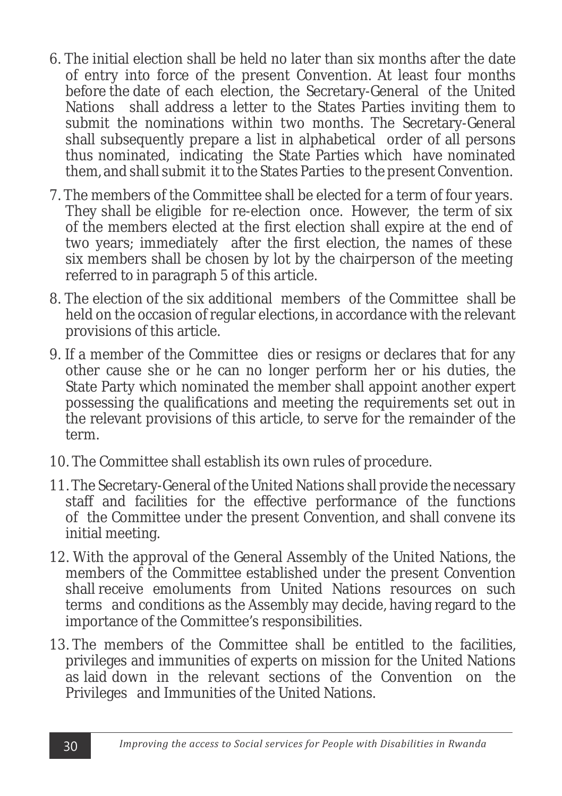- 6. The initial election shall be held no later than six months after the date of entry into force of the present Convention. At least four months before the date of each election, the Secretary-General of the United Nations shall address a letter to the States Parties inviting them to submit the nominations within two months. The Secretary-General shall subsequently prepare a list in alphabetical order of all persons thus nominated, indicating the State Parties which have nominated them, and shall submit it to the States Parties to the present Convention.
- 7. The members of the Committee shall be elected for a term of four years. They shall be eligible for re-election once. However, the term of six of the members elected at the first election shall expire at the end of two years; immediately after the first election, the names of these six members shall be chosen by lot by the chairperson of the meeting referred to in paragraph 5 of this article.
- 8. The election of the six additional members of the Committee shall be held on the occasion of regular elections, in accordance with the relevant provisions of this article.
- 9. If a member of the Committee dies or resigns or declares that for any other cause she or he can no longer perform her or his duties, the State Party which nominated the member shall appoint another expert possessing the qualifications and meeting the requirements set out in the relevant provisions of this article, to serve for the remainder of the term.
- 10. The Committee shall establish its own rules of procedure.
- 11. The Secretary-General of the United Nations shall provide the necessary staff and facilities for the effective performance of the functions of the Committee under the present Convention, and shall convene its initial meeting.
- 12. With the approval of the General Assembly of the United Nations, the members of the Committee established under the present Convention shall receive emoluments from United Nations resources on such terms and conditions as the Assembly may decide, having regard to the importance of the Committee's responsibilities.
- 13. The members of the Committee shall be entitled to the facilities, privileges and immunities of experts on mission for the United Nations as laid down in the relevant sections of the Convention on the Privileges and Immunities of the United Nations.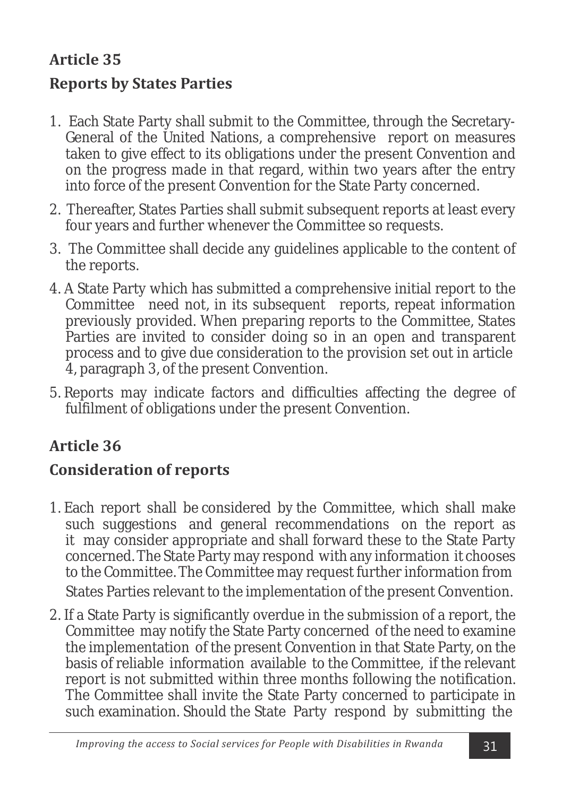# **Reports by States Parties**

- 1. Each State Party shall submit to the Committee, through the Secretary- General of the United Nations, a comprehensive report on measures taken to give effect to its obligations under the present Convention and on the progress made in that regard, within two years after the entry into force of the present Convention for the State Party concerned.
- 2. Thereafter, States Parties shall submit subsequent reports at least every four years and further whenever the Committee so requests.
- 3. The Committee shall decide any guidelines applicable to the content of the reports.
- 4. A State Party which has submitted a comprehensive initial report to the Committee need not, in its subsequent reports, repeat information previously provided. When preparing reports to the Committee, States Parties are invited to consider doing so in an open and transparent process and to give due consideration to the provision set out in article 4, paragraph 3, of the present Convention.
- 5. Reports may indicate factors and difficulties affecting the degree of fulfilment of obligations under the present Convention.

# **Article 36**

# **Consideration of reports**

- 1. Each report shall be considered by the Committee, which shall make such suggestions and general recommendations on the report as it may consider appropriate and shall forward these to the State Party concerned. The State Party may respond with any information it chooses to the Committee. The Committee may request further information from States Parties relevant to the implementation of the present Convention.
- 2. If a State Party is significantly overdue in the submission of a report, the Committee may notify the State Party concerned of the need to examine the implementation of the present Convention in that State Party, on the basis of reliable information available to the Committee, if the relevant report is not submitted within three months following the notification. The Committee shall invite the State Party concerned to participate in such examination. Should the State Party respond by submitting the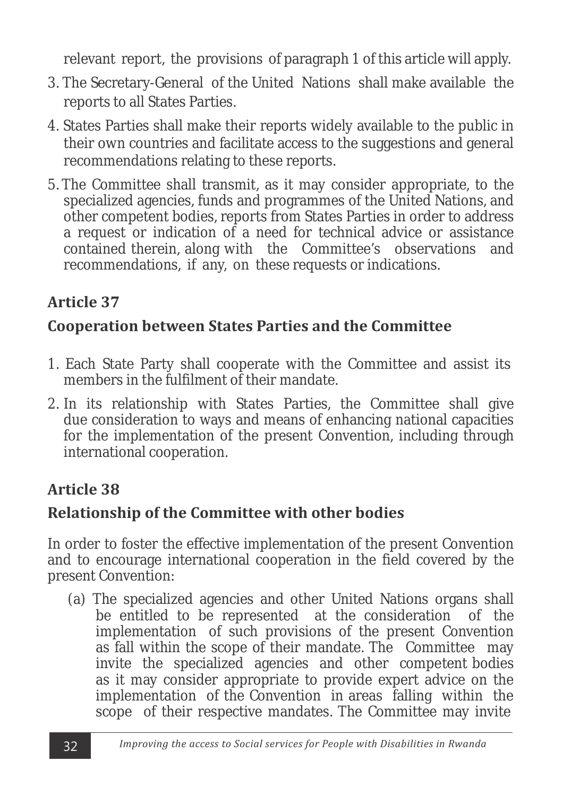relevant report, the provisions of paragraph 1 of this article will apply.

- 3. The Secretary-General of the United Nations shall make available the reports to all States Parties.
- 4. States Parties shall make their reports widely available to the public in their own countries and facilitate access to the suggestions and general recommendations relating to these reports.
- 5. The Committee shall transmit, as it may consider appropriate, to the specialized agencies, funds and programmes of the United Nations, and other competent bodies, reports from States Parties in order to address a request or indication of a need for technical advice or assistance contained therein, along with the Committee's observations and recommendations, if any, on these requests or indications.

# **Article 37**

# **Cooperation between States Parties and the Committee**

- 1. Each State Party shall cooperate with the Committee and assist its members in the fulfilment of their mandate.
- 2. In its relationship with States Parties, the Committee shall give due consideration to ways and means of enhancing national capacities for the implementation of the present Convention, including through international cooperation.

# **Article 38**

# **Relationship of the Committee with other bodies**

In order to foster the effective implementation of the present Convention and to encourage international cooperation in the field covered by the present Convention:

(a) The specialized agencies and other United Nations organs shall be entitled to be represented at the consideration of the implementation of such provisions of the present Convention as fall within the scope of their mandate. The Committee may invite the specialized agencies and other competent bodies as it may consider appropriate to provide expert advice on the implementation of the Convention in areas falling within the scope of their respective mandates. The Committee may invite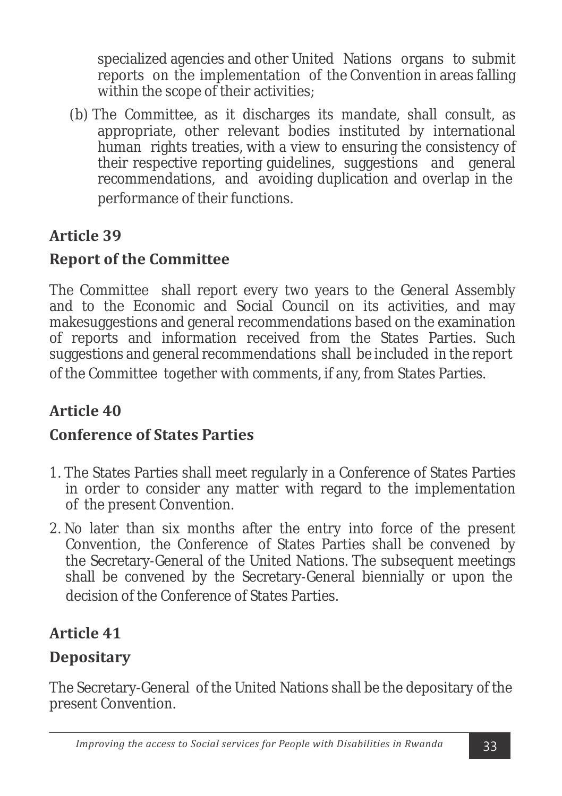specialized agencies and other United Nations organs to submit reports on the implementation of the Convention in areas falling within the scope of their activities;

(b) The Committee, as it discharges its mandate, shall consult, as appropriate, other relevant bodies instituted by international human rights treaties, with a view to ensuring the consistency of their respective reporting guidelines, suggestions and general recommendations, and avoiding duplication and overlap in the performance of their functions.

## **Article 39**

### **Report of the Committee**

The Committee shall report every two years to the General Assembly and to the Economic and Social Council on its activities, and may makesuggestions and general recommendations based on the examination of reports and information received from the States Parties. Such suggestions and general recommendations shall be included in the report of the Committee together with comments, if any, from States Parties.

# **Article 40**

# **Conference of States Parties**

- 1. The States Parties shall meet regularly in a Conference of States Parties in order to consider any matter with regard to the implementation of the present Convention.
- 2. No later than six months after the entry into force of the present Convention, the Conference of States Parties shall be convened by the Secretary-General of the United Nations. The subsequent meetings shall be convened by the Secretary-General biennially or upon the decision of the Conference of States Parties.

# **Article 41**

# **Depositary**

The Secretary-General of the United Nations shall be the depositary of the present Convention.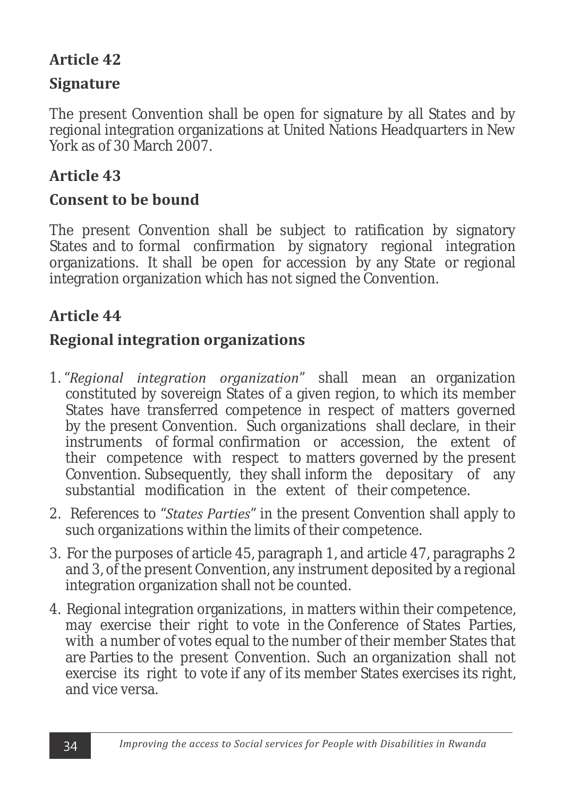# **Signature**

The present Convention shall be open for signature by all States and by regional integration organizations at United Nations Headquarters in New York as of 30 March 2007.

# **Article 43**

### **Consent to be bound**

The present Convention shall be subject to ratification by signatory States and to formal confirmation by signatory regional integration organizations. It shall be open for accession by any State or regional integration organization which has not signed the Convention.

# **Article 44**

## **Regional integration organizations**

- 1. "*Regional integration organization*" shall mean an organization constituted by sovereign States of a given region, to which its member States have transferred competence in respect of matters governed by the present Convention. Such organizations shall declare, in their instruments of formal confirmation or accession, the extent of their competence with respect to matters governed by the present Convention. Subsequently, they shall inform the depositary of any Convention. Subsequently, they shall inform the depositary of substantial modification in the extent of their competence.
- 2. References to "*States Parties*" in the present Convention shall apply to such organizations within the limits of their competence.
- 3. For the purposes of article 45, paragraph 1, and article 47, paragraphs 2 and 3, of the present Convention, any instrument deposited by a regional integration organization shall not be counted.
- 4. Regional integration organizations, in matters within their competence, may exercise their right to vote in the Conference of States Parties, with a number of votes equal to the number of their member States that are Parties to the present Convention. Such an organization shall not exercise its right to vote if any of its member States exercises its right, and vice versa.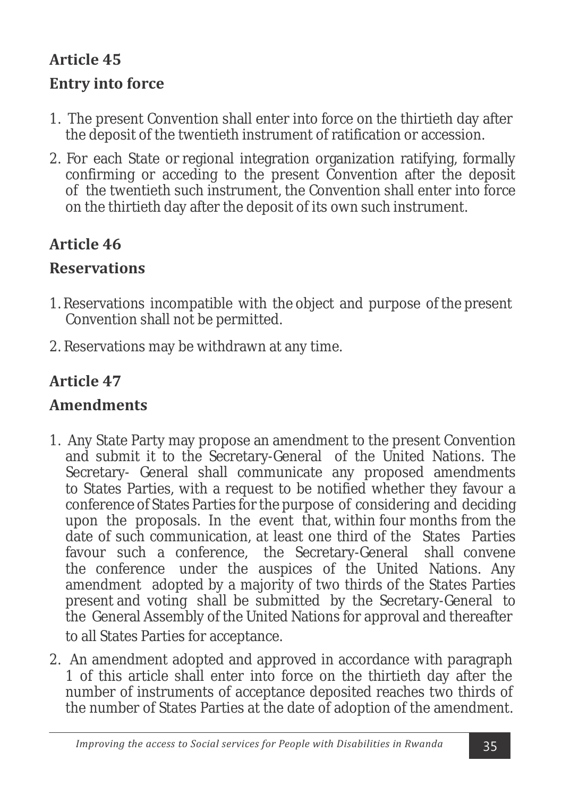# **Entry into force**

- 1. The present Convention shall enter into force on the thirtieth day after the deposit of the twentieth instrument of ratification or accession.
- 2. For each State or regional integration organization ratifying, formally confirming or acceding to the present Convention after the deposit of the twentieth such instrument, the Convention shall enter into force on the thirtieth day after the deposit of its own such instrument.

# **Article 46**

# **Reservations**

- 1. Reservations incompatible with the object and purpose of the present Convention shall not be permitted.
- 2. Reservations may be withdrawn at any time.

# **Article 47**

# **Amendments**

- 1. Any State Party may propose an amendment to the present Convention and submit it to the Secretary-General of the United Nations. The Secretary- General shall communicate any proposed amendments to States Parties, with a request to be notified whether they favour a conference of States Parties for the purpose of considering and deciding upon the proposals. In the event that, within four months from the date of such communication, at least one third of the States Parties favour such a conference, the Secretary-General shall convene the conference under the auspices of the United Nations. Any amendment adopted by a majority of two thirds of the States Parties present and voting shall be submitted by the Secretary-General to the General Assembly of the United Nations for approval and thereafter to all States Parties for acceptance.
- 2. An amendment adopted and approved in accordance with paragraph 1 of this article shall enter into force on the thirtieth day after the number of instruments of acceptance deposited reaches two thirds of the number of States Parties at the date of adoption of the amendment.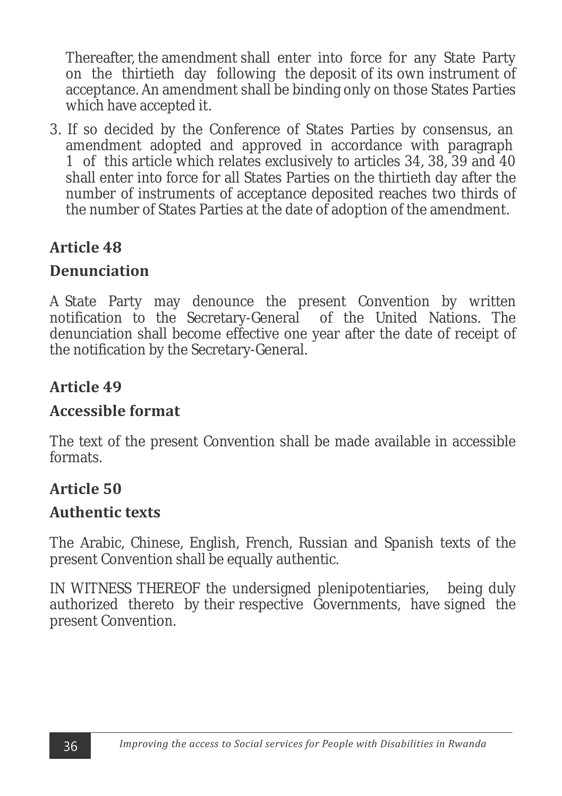Thereafter, the amendment shall enter into force for any State Party on the thirtieth day following the deposit of its own instrument of acceptance. An amendment shall be binding only on those States Parties which have accepted it.

3. If so decided by the Conference of States Parties by consensus, an amendment adopted and approved in accordance with paragraph 1 of this article which relates exclusively to articles 34, 38, 39 and 40 shall enter into force for all States Parties on the thirtieth day after the number of instruments of acceptance deposited reaches two thirds of the number of States Parties at the date of adoption of the amendment.

### **Article 48**

#### **Denunciation**

A State Party may denounce the present Convention by written notification to the Secretary-General of the United Nations. The denunciation shall become effective one year after the date of receipt of the notification by the Secretary-General.

#### **Article 49**

#### **Accessible format**

The text of the present Convention shall be made available in accessible formats.

#### **Article 50**

#### **Authentic texts**

The Arabic, Chinese, English, French, Russian and Spanish texts of the present Convention shall be equally authentic.

IN WITNESS THEREOF the undersigned plenipotentiaries, being duly authorized thereto by their respective Governments, have signed the present Convention.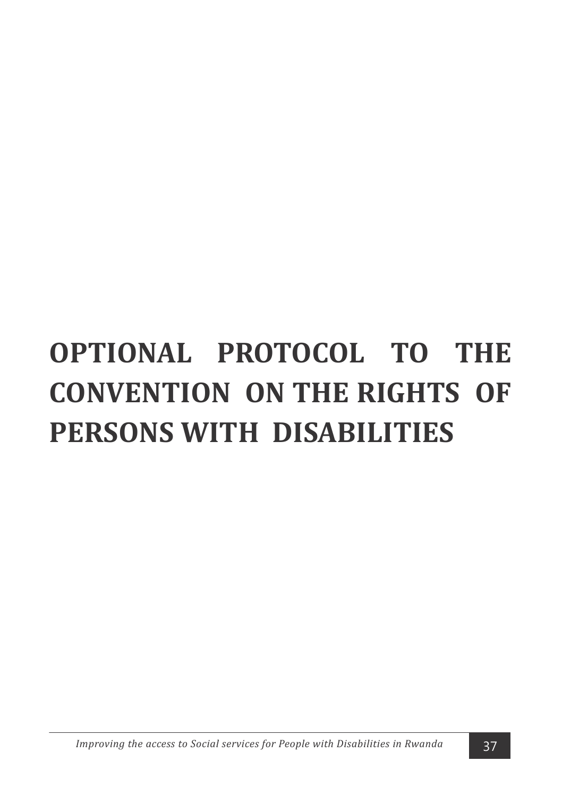# **OPTIONAL PROTOCOL TO THE CONVENTION ON THE RIGHTS OF PERSONS WITH DISABILITIES**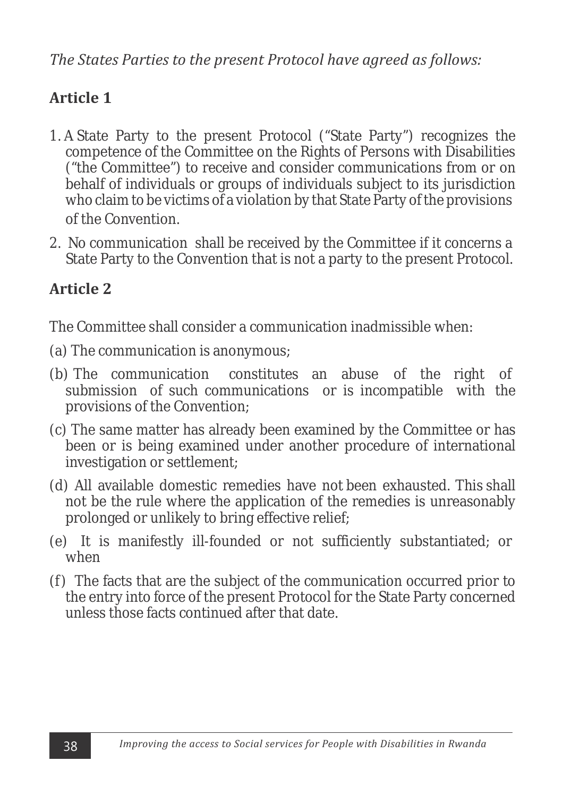*The States Parties to the present Protocol have agreed as follows:*

# **Article 1**

- 1. A State Party to the present Protocol ("State Party") recognizes the competence of the Committee on the Rights of Persons with Disabilities ("the Committee") to receive and consider communications from or on behalf of individuals or groups of individuals subject to its jurisdiction who claim to be victims of a violation by that State Party of the provisions of the Convention.
- 2. No communication shall be received by the Committee if it concerns a State Party to the Convention that is not a party to the present Protocol.

## **Article 2**

The Committee shall consider a communication inadmissible when:

- (a) The communication is anonymous;
- (b) The communication constitutes an abuse of the right of submission of such communications or is incompatible with the provisions of the Convention;
- (c) The same matter has already been examined by the Committee or has been or is being examined under another procedure of international investigation or settlement;
- (d) All available domestic remedies have not been exhausted. This shall not be the rule where the application of the remedies is unreasonably prolonged or unlikely to bring effective relief;
- (e) It is manifestly ill-founded or not sufficiently substantiated; or when
- (f) The facts that are the subject of the communication occurred prior to the entry into force of the present Protocol for the State Party concerned unless those facts continued after that date.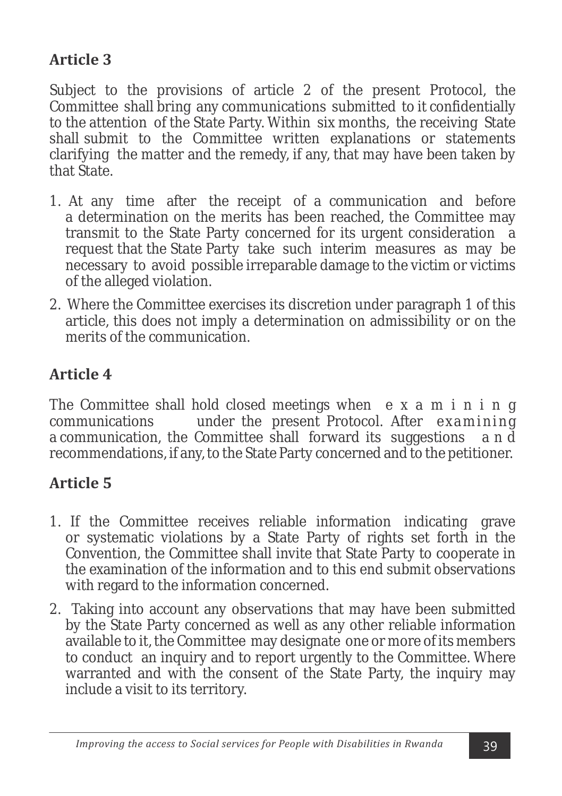Subject to the provisions of article 2 of the present Protocol, the Committee shall bring any communications submitted to it confidentially to the attention of the State Party. Within six months, the receiving State shall submit to the Committee written explanations or statements clarifying the matter and the remedy, if any, that may have been taken by that State.

- 1. At any time after the receipt of a communication and before a determination on the merits has been reached, the Committee may transmit to the State Party concerned for its urgent consideration a request that the State Party take such interim measures as may be necessary to avoid possible irreparable damage to the victim or victims of the alleged violation.
- 2. Where the Committee exercises its discretion under paragraph 1 of this article, this does not imply a determination on admissibility or on the merits of the communication.

# **Article 4**

The Committee shall hold closed meetings when e x a m i n i n g communications under the present Protocol After examining under the present Protocol. After examining<br>Committee shall forward its suggestions and a communication, the Committee shall forward its suggestions recommendations, if any, to the State Party concerned and to the petitioner.

# **Article 5**

- 1. If the Committee receives reliable information indicating grave or systematic violations by a State Party of rights set forth in the Convention, the Committee shall invite that State Party to cooperate in the examination of the information and to this end submit observations with regard to the information concerned.
- 2. Taking into account any observations that may have been submitted by the State Party concerned as well as any other reliable information available to it, the Committee may designate one or more of its members to conduct an inquiry and to report urgently to the Committee. Where warranted and with the consent of the State Party, the inquiry may include a visit to its territory.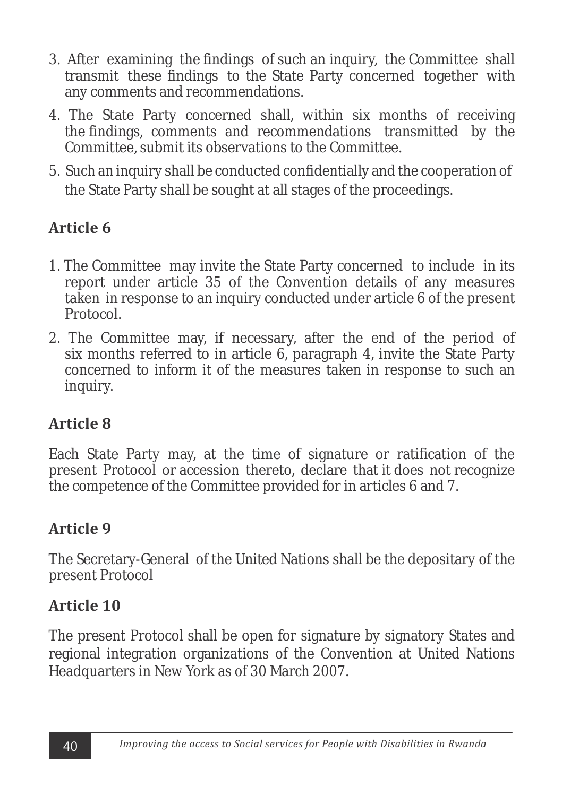- 3. After examining the findings of such an inquiry, the Committee shall transmit these findings to the State Party concerned together with any comments and recommendations.
- 4. The State Party concerned shall, within six months of receiving the findings, comments and recommendations transmitted by the Committee, submit its observations to the Committee.
- 5. Such an inquiry shall be conducted confidentially and the cooperation of the State Party shall be sought at all stages of the proceedings.

- 1. The Committee may invite the State Party concerned to include in its report under article 35 of the Convention details of any measures taken in response to an inquiry conducted under article 6 of the present Protocol.
- 2. The Committee may, if necessary, after the end of the period of six months referred to in article 6, paragraph 4, invite the State Party concerned to inform it of the measures taken in response to such an inquiry.

### **Article 8**

Each State Party may, at the time of signature or ratification of the present Protocol or accession thereto, declare that it does not recognize the competence of the Committee provided for in articles 6 and 7.

# **Article 9**

The Secretary-General of the United Nations shall be the depositary of the present Protocol

### **Article 10**

The present Protocol shall be open for signature by signatory States and regional integration organizations of the Convention at United Nations Headquarters in New York as of 30 March 2007.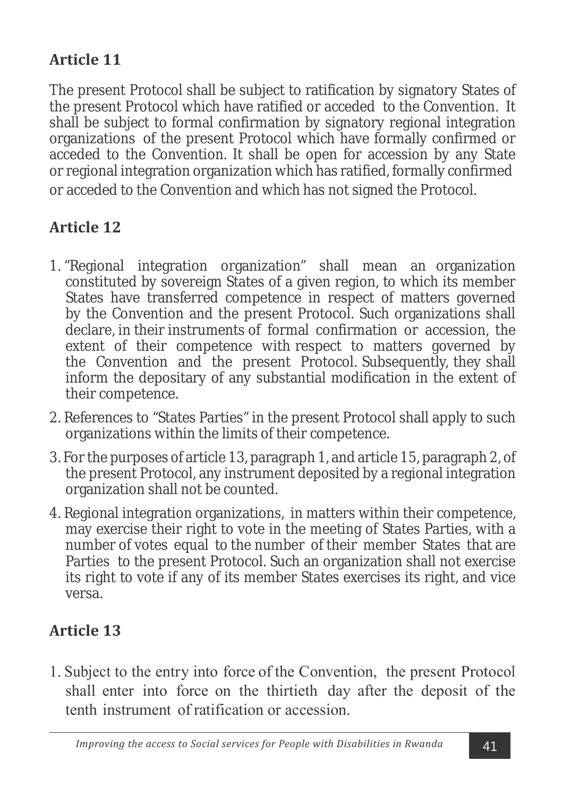The present Protocol shall be subject to ratification by signatory States of the present Protocol which have ratified or acceded to the Convention. It shall be subject to formal confirmation by signatory regional integration organizations of the present Protocol which have formally confirmed or acceded to the Convention. It shall be open for accession by any State or regional integration organization which has ratified, formally confirmed or acceded to the Convention and which has not signed the Protocol.

# **Article 12**

- 1. "Regional integration organization" shall mean an organization constituted by sovereign States of a given region, to which its member States have transferred competence in respect of matters governed by the Convention and the present Protocol. Such organizations shall declare, in their instruments of formal confirmation or accession, the extent of their competence with respect to matters governed by the Convention and the present Protocol. Subsequently, they shall inform the depositary of any substantial modification in the extent of their competence.
- 2. References to "States Parties" in the present Protocol shall apply to such organizations within the limits of their competence.
- 3. For the purposes of article 13, paragraph 1, and article 15, paragraph 2, of the present Protocol, any instrument deposited by a regional integration organization shall not be counted.
- 4. Regional integration organizations, in matters within their competence, may exercise their right to vote in the meeting of States Parties, with a number of votes equal to the number of their member States that are Parties to the present Protocol. Such an organization shall not exercise its right to vote if any of its member States exercises its right, and vice versa.

# **Article 13**

1. Subject to the entry into force of the Convention, the present Protocol shall enter into force on the thirtieth day after the deposit of the tenth instrument of ratification or accession.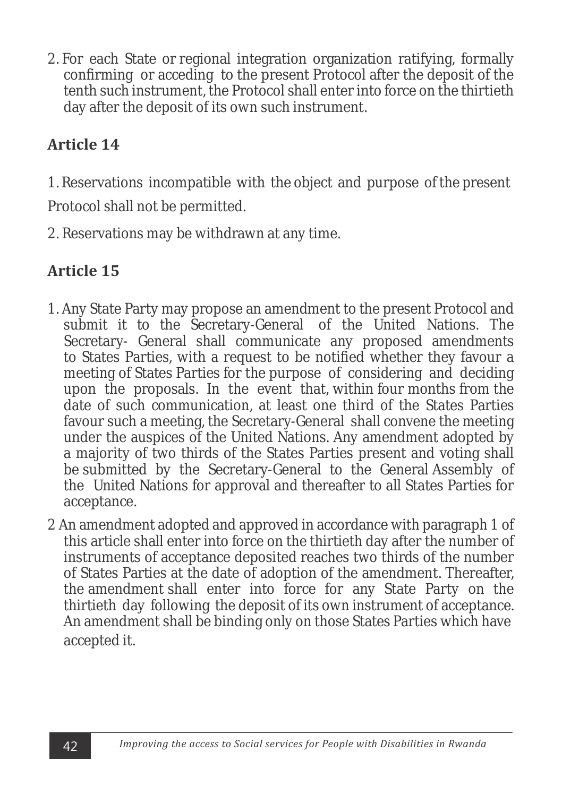2. For each State or regional integration organization ratifying, formally confirming or acceding to the present Protocol after the deposit of the tenth such instrument, the Protocol shall enter into force on the thirtieth day after the deposit of its own such instrument.

# **Article 14**

1. Reservations incompatible with the object and purpose of the present Protocol shall not be permitted.

2. Reservations may be withdrawn at any time.

# **Article 15**

- 1. Any State Party may propose an amendment to the present Protocol and submit it to the Secretary-General of the United Nations. The Secretary- General shall communicate any proposed amendments to States Parties, with a request to be notified whether they favour a meeting of States Parties for the purpose of considering and deciding upon the proposals. In the event that, within four months from the date of such communication, at least one third of the States Parties favour such a meeting, the Secretary-General shall convene the meeting under the auspices of the United Nations. Any amendment adopted by a majority of two thirds of the States Parties present and voting shall be submitted by the Secretary-General to the General Assembly of the United Nations for approval and thereafter to all States Parties for acceptance.
- 2 An amendment adopted and approved in accordance with paragraph 1 of this article shall enter into force on the thirtieth day after the number of instruments of acceptance deposited reaches two thirds of the number of States Parties at the date of adoption of the amendment. Thereafter, the amendment shall enter into force for any State Party on the thirtieth day following the deposit of its own instrument of acceptance. An amendment shall be binding only on those States Parties which have accepted it.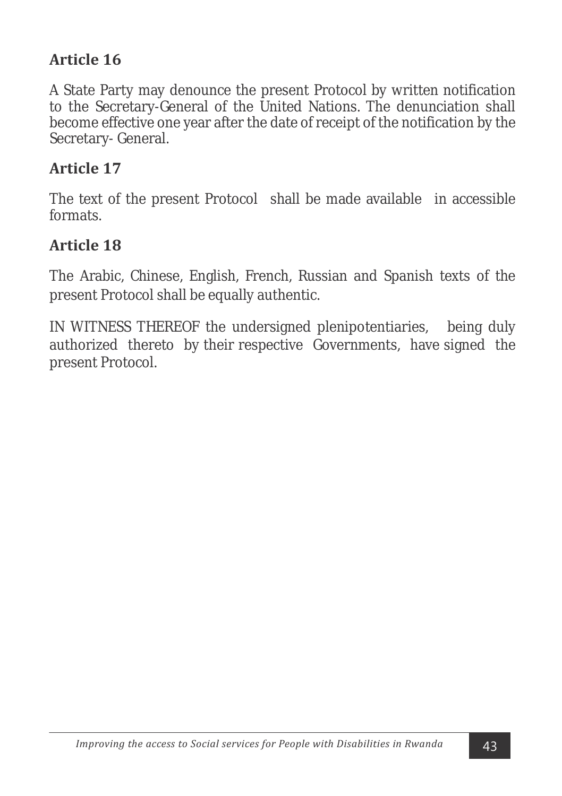A State Party may denounce the present Protocol by written notification to the Secretary-General of the United Nations. The denunciation shall become effective one year after the date of receipt of the notification by the Secretary- General.

### **Article 17**

The text of the present Protocol shall be made available in accessible formats.

## **Article 18**

The Arabic, Chinese, English, French, Russian and Spanish texts of the present Protocol shall be equally authentic.

IN WITNESS THEREOF the undersigned plenipotentiaries, being duly authorized thereto by their respective Governments, have signed the present Protocol.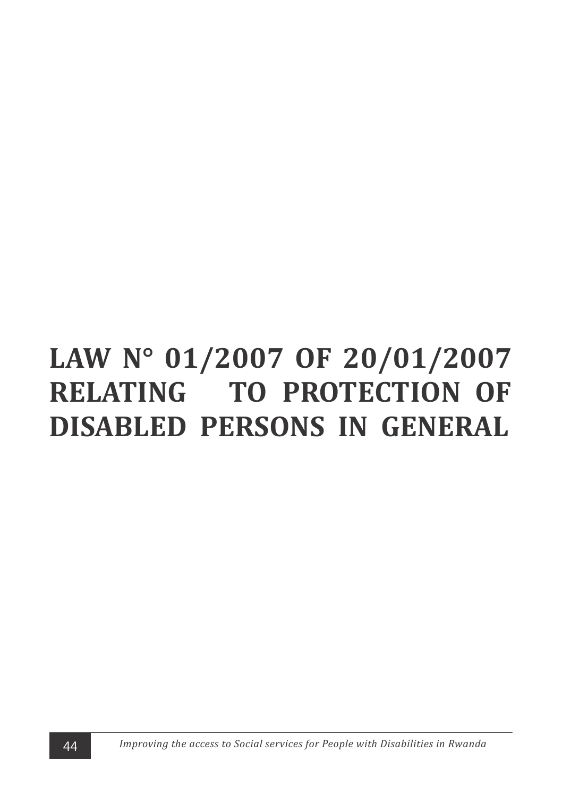# **LAW N° 01/2007 OF 20/01/2007 RELATING TO PROTECTION OF DISABLED PERSONS IN GENERAL**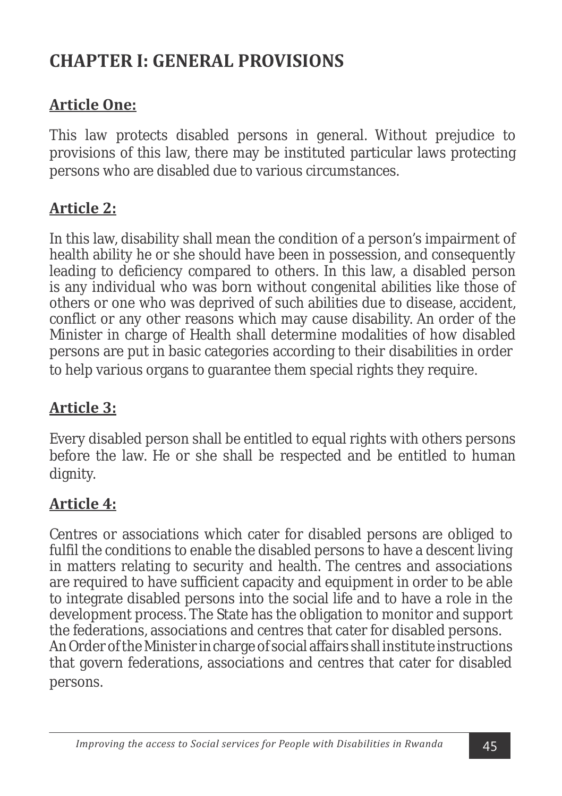# **CHAPTER I: GENERAL PROVISIONS**

# **Article One:**

This law protects disabled persons in general. Without prejudice to provisions of this law, there may be instituted particular laws protecting persons who are disabled due to various circumstances.

# **Article 2:**

In this law, disability shall mean the condition of a person's impairment of health ability he or she should have been in possession, and consequently leading to deficiency compared to others. In this law, a disabled person is any individual who was born without congenital abilities like those of others or one who was deprived of such abilities due to disease, accident, conflict or any other reasons which may cause disability. An order of the Minister in charge of Health shall determine modalities of how disabled persons are put in basic categories according to their disabilities in order to help various organs to guarantee them special rights they require.

# **Article 3:**

Every disabled person shall be entitled to equal rights with others persons before the law. He or she shall be respected and be entitled to human dignity.

# **Article 4:**

Centres or associations which cater for disabled persons are obliged to fulfil the conditions to enable the disabled persons to have a descent living in matters relating to security and health. The centres and associations are required to have sufficient capacity and equipment in order to be able to integrate disabled persons into the social life and to have a role in the development process. The State has the obligation to monitor and support the federations, associations and centres that cater for disabled persons. An Order of the Minister in charge of social affairs shall institute instructions that govern federations, associations and centres that cater for disabled persons.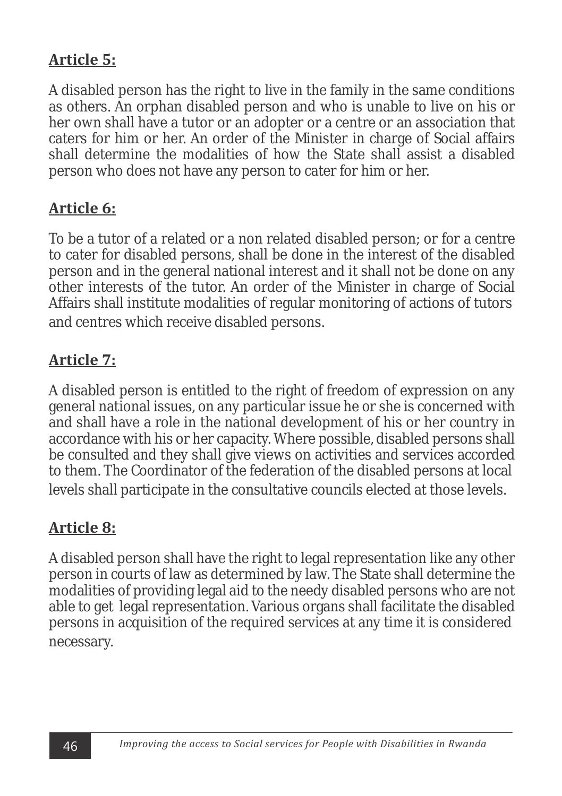# **Article 5:**

A disabled person has the right to live in the family in the same conditions as others. An orphan disabled person and who is unable to live on his or her own shall have a tutor or an adopter or a centre or an association that caters for him or her. An order of the Minister in charge of Social affairs shall determine the modalities of how the State shall assist a disabled person who does not have any person to cater for him or her.

# **Article 6:**

To be a tutor of a related or a non related disabled person; or for a centre to cater for disabled persons, shall be done in the interest of the disabled person and in the general national interest and it shall not be done on any other interests of the tutor. An order of the Minister in charge of Social Affairs shall institute modalities of regular monitoring of actions of tutors and centres which receive disabled persons.

# **Article 7:**

A disabled person is entitled to the right of freedom of expression on any general national issues, on any particular issue he or she is concerned with and shall have a role in the national development of his or her country in accordance with his or her capacity. Where possible, disabled persons shall be consulted and they shall give views on activities and services accorded to them. The Coordinator of the federation of the disabled persons at local levels shall participate in the consultative councils elected at those levels.

# **Article 8:**

A disabled person shall have the right to legal representation like any other person in courts of law as determined by law. The State shall determine the modalities of providing legal aid to the needy disabled persons who are not able to get legal representation. Various organs shall facilitate the disabled persons in acquisition of the required services at any time it is considered necessary.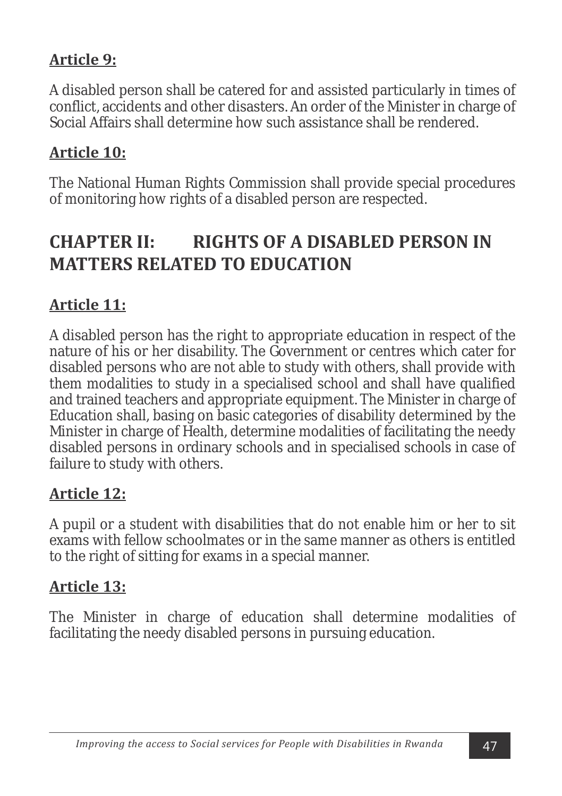## **Article 9:**

A disabled person shall be catered for and assisted particularly in times of conflict, accidents and other disasters. An order of the Minister in charge of Social Affairs shall determine how such assistance shall be rendered.

# **Article 10:**

The National Human Rights Commission shall provide special procedures of monitoring how rights of a disabled person are respected.

# **CHAPTER II: RIGHTS OF A DISABLED PERSON IN MATTERS RELATED TO EDUCATION**

# **Article 11:**

A disabled person has the right to appropriate education in respect of the nature of his or her disability. The Government or centres which cater for disabled persons who are not able to study with others, shall provide with them modalities to study in a specialised school and shall have qualified and trained teachers and appropriate equipment. The Minister in charge of Education shall, basing on basic categories of disability determined by the Minister in charge of Health, determine modalities of facilitating the needy disabled persons in ordinary schools and in specialised schools in case of failure to study with others.

# **Article 12:**

A pupil or a student with disabilities that do not enable him or her to sit exams with fellow schoolmates or in the same manner as others is entitled to the right of sitting for exams in a special manner.

### **Article 13:**

The Minister in charge of education shall determine modalities of facilitating the needy disabled persons in pursuing education.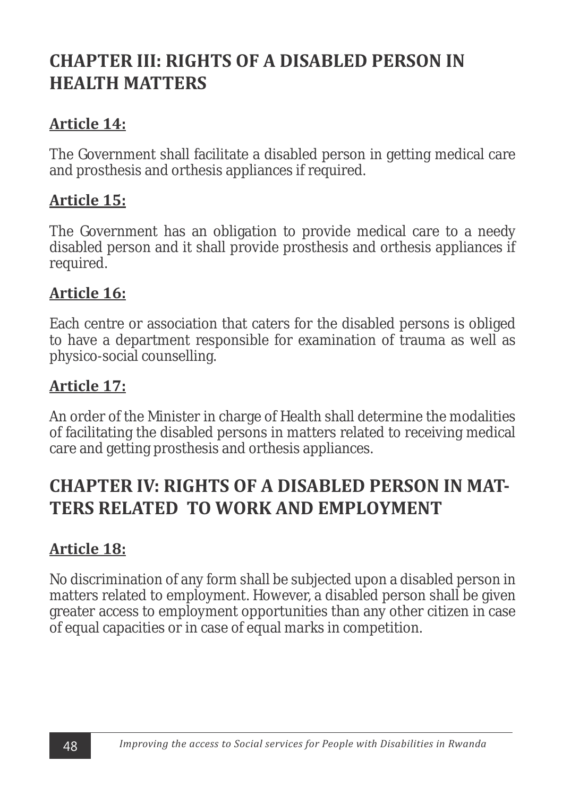# **CHAPTER III: RIGHTS OF A DISABLED PERSON IN HEALTH MATTERS**

### **Article 14:**

The Government shall facilitate a disabled person in getting medical care and prosthesis and orthesis appliances if required.

### **Article 15:**

The Government has an obligation to provide medical care to a needy disabled person and it shall provide prosthesis and orthesis appliances if required.

### **Article 16:**

Each centre or association that caters for the disabled persons is obliged to have a department responsible for examination of trauma as well as physico-social counselling.

### **Article 17:**

An order of the Minister in charge of Health shall determine the modalities of facilitating the disabled persons in matters related to receiving medical care and getting prosthesis and orthesis appliances.

# **CHAPTER IV: RIGHTS OF A DISABLED PERSON IN MAT- TERS RELATED TO WORK AND EMPLOYMENT**

# **Article 18:**

No discrimination of any form shall be subjected upon a disabled person in matters related to employment. However, a disabled person shall be given greater access to employment opportunities than any other citizen in case of equal capacities or in case of equal marks in competition.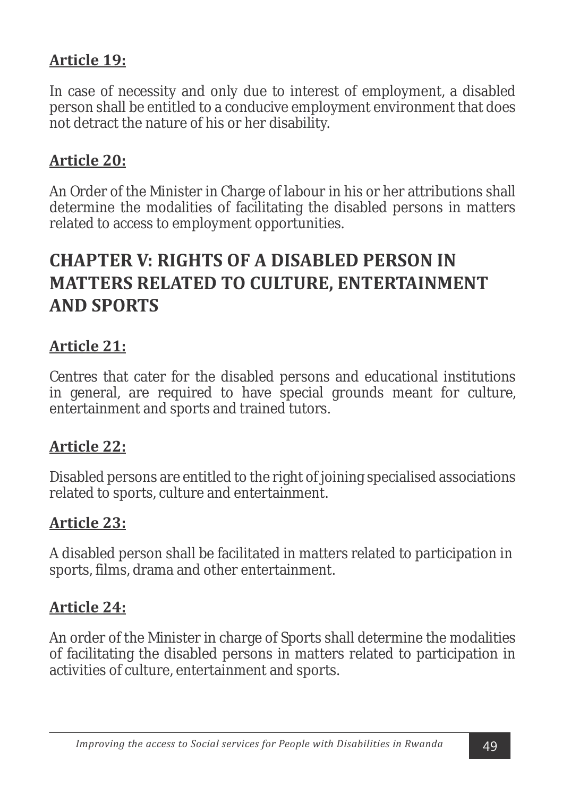### **Article 19:**

In case of necessity and only due to interest of employment, a disabled person shall be entitled to a conducive employment environment that does not detract the nature of his or her disability.

### **Article 20:**

An Order of the Minister in Charge of labour in his or her attributions shall determine the modalities of facilitating the disabled persons in matters related to access to employment opportunities.

# **CHAPTER V: RIGHTS OF A DISABLED PERSON IN MATTERS RELATED TO CULTURE, ENTERTAINMENT AND SPORTS**

### **Article 21:**

Centres that cater for the disabled persons and educational institutions in general, are required to have special grounds meant for culture, entertainment and sports and trained tutors.

### **Article 22:**

Disabled persons are entitled to the right of joining specialised associations related to sports, culture and entertainment.

### **Article 23:**

A disabled person shall be facilitated in matters related to participation in sports, films, drama and other entertainment.

#### **Article 24:**

An order of the Minister in charge of Sports shall determine the modalities of facilitating the disabled persons in matters related to participation in activities of culture, entertainment and sports.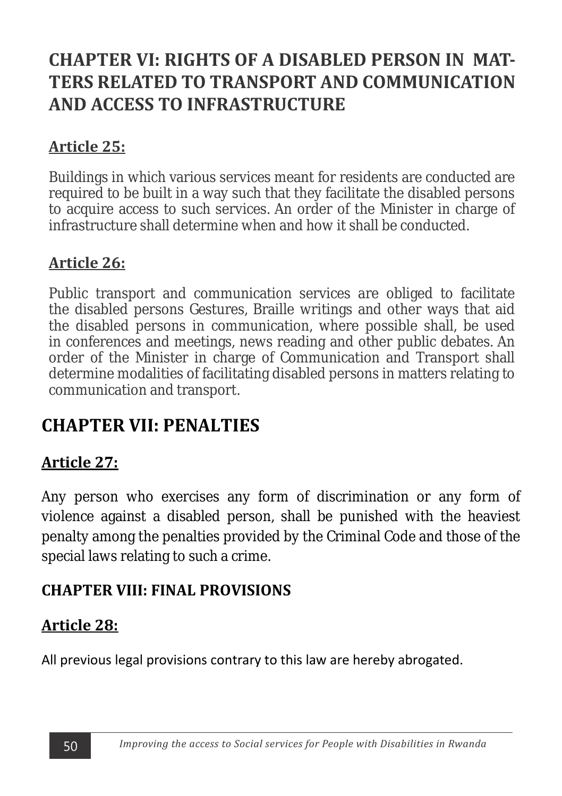# **CHAPTER VI: RIGHTS OF A DISABLED PERSON IN MAT- TERS RELATED TO TRANSPORT AND COMMUNICATION AND ACCESS TO INFRASTRUCTURE**

# **Article 25:**

Buildings in which various services meant for residents are conducted are required to be built in a way such that they facilitate the disabled persons to acquire access to such services. An order of the Minister in charge of infrastructure shall determine when and how it shall be conducted.

### **Article 26:**

Public transport and communication services are obliged to facilitate the disabled persons Gestures, Braille writings and other ways that aid the disabled persons in communication, where possible shall, be used in conferences and meetings, news reading and other public debates. An order of the Minister in charge of Communication and Transport shall determine modalities of facilitating disabled persons in matters relating to communication and transport.

# **CHAPTER VII: PENALTIES**

# **Article 27:**

Any person who exercises any form of discrimination or any form of violence against a disabled person, shall be punished with the heaviest penalty among the penalties provided by the Criminal Code and those of the special laws relating to such a crime.

# **CHAPTER VIII: FINAL PROVISIONS**

### **Article 28:**

All previous legal provisions contrary to this law are hereby abrogated.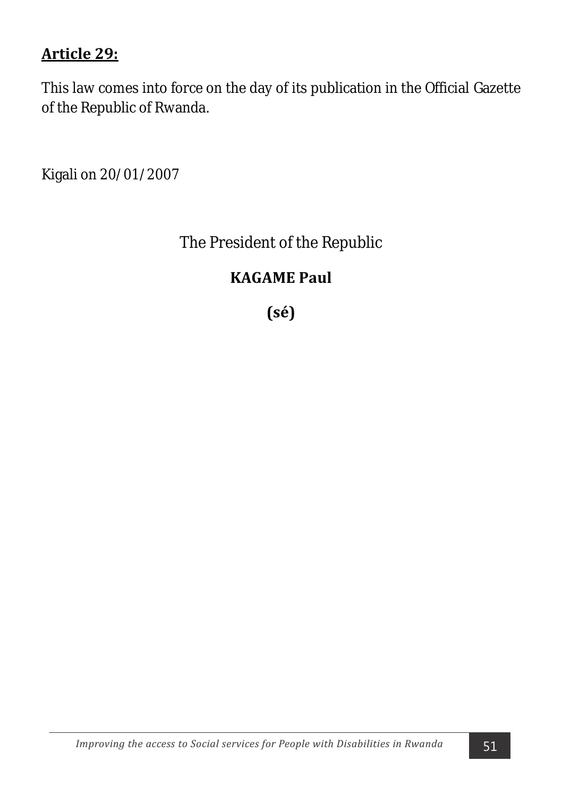### **Article 29:**

This law comes into force on the day of its publication in the Official Gazette of the Republic of Rwanda.

Kigali on 20/01/2007

The President of the Republic

# **KAGAME Paul**

**(sé)**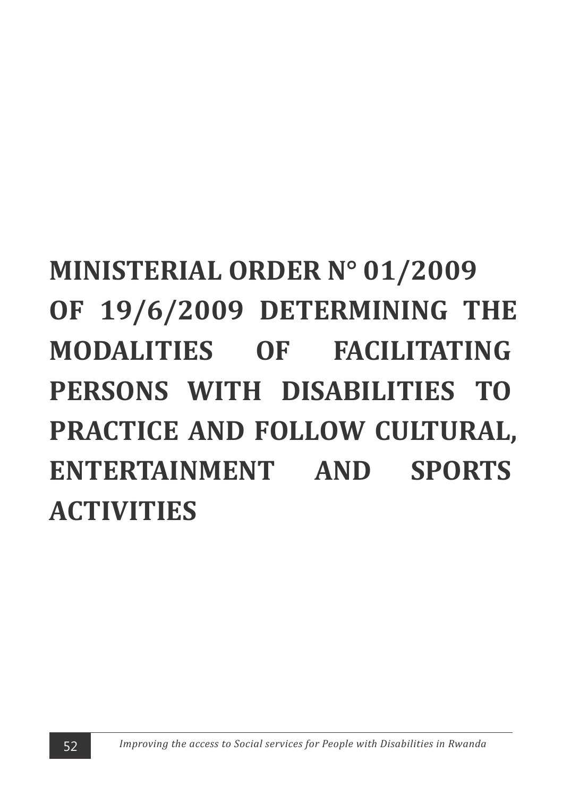# **MINISTERIAL ORDER N° 01/2009 OF 19/6/2009 DETERMINING THE MODALITIES OF FACILITATING PERSONS WITH DISABILITIES TO PRACTICE AND FOLLOW CULTURAL, ENTERTAINMENT AND SPORTS ACTIVITIES**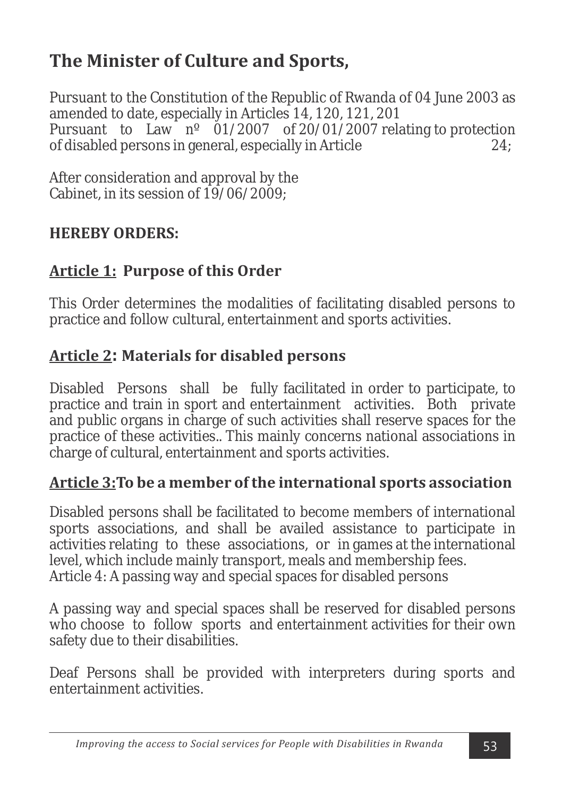# **The Minister of Culture and Sports,**

Pursuant to the Constitution of the Republic of Rwanda of 04 June 2003 as amended to date, especially in Articles 14, 120, 121, 201 Pursuant to Law  $n^{\circ}$  01/2007 of 20/01/2007 relating to protection<br>of disabled persons in general especially in Article of disabled persons in general, especially in Article 24;

After consideration and approval by the Cabinet, in its session of 19/06/2009;

## **HEREBY ORDERS:**

# **Article 1: Purpose of this Order**

This Order determines the modalities of facilitating disabled persons to practice and follow cultural, entertainment and sports activities.

### **Article 2: Materials for disabled persons**

Disabled Persons shall be fully facilitated in order to participate, to practice and train in sport and entertainment activities. Both private and public organs in charge of such activities shall reserve spaces for the practice of these activities.. This mainly concerns national associations in charge of cultural, entertainment and sports activities.

### **Article 3:To be a member of the international sports association**

Disabled persons shall be facilitated to become members of international sports associations, and shall be availed assistance to participate in activities relating to these associations, or in games at the international level, which include mainly transport, meals and membership fees. Article 4: A passing way and special spaces for disabled persons

A passing way and special spaces shall be reserved for disabled persons who choose to follow sports and entertainment activities for their own safety due to their disabilities.

Deaf Persons shall be provided with interpreters during sports and entertainment activities.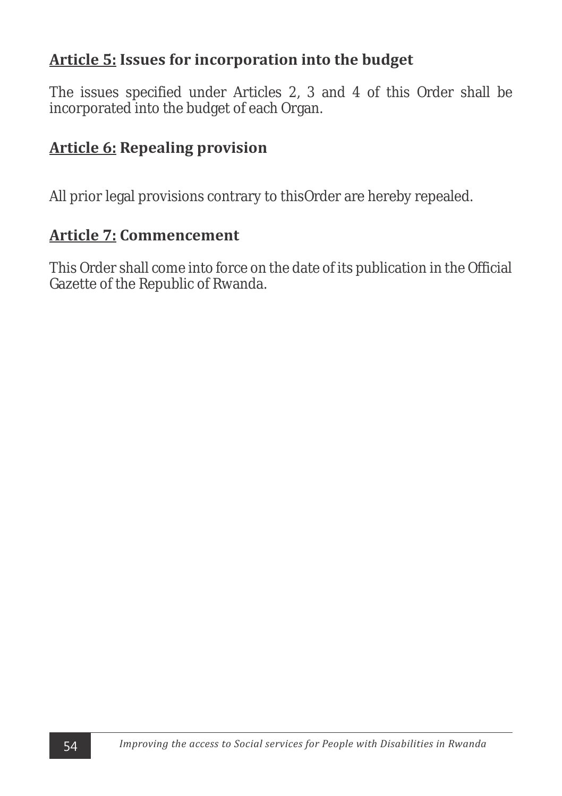### **Article 5: Issues for incorporation into the budget**

The issues specified under Articles 2, 3 and 4 of this Order shall be incorporated into the budget of each Organ.

### **Article 6: Repealing provision**

All prior legal provisions contrary to thisOrder are hereby repealed.

### **Article 7: Commencement**

This Order shall come into force on the date of its publication in the Official Gazette of the Republic of Rwanda.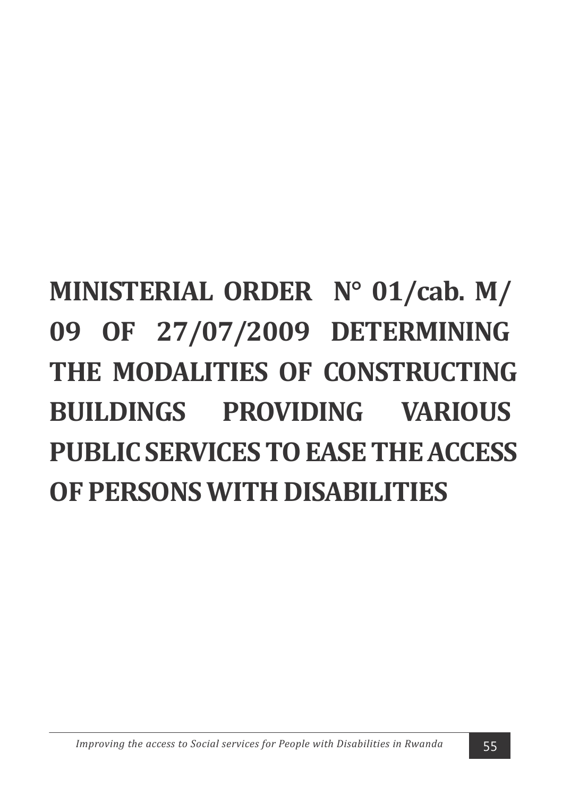# **MINISTERIAL ORDER N° 01/cab. M/ 09 OF 27/07/2009 DETERMINING THE MODALITIES OF CONSTRUCTING BUILDINGS PROVIDING VARIOUS PUBLICSERVICESTOEASETHEACCESS OF PERSONSWITH DISABILITIES**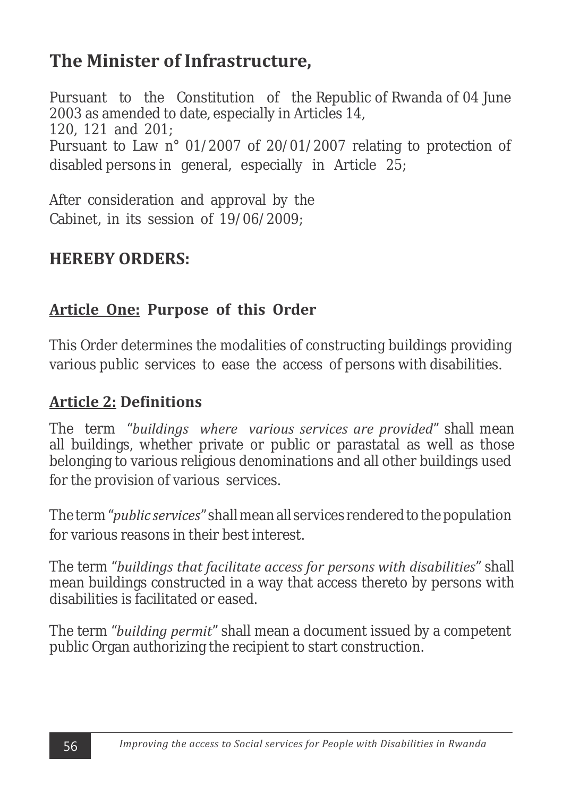# **The Minister of Infrastructure,**

Pursuant to the Constitution of the Republic of Rwanda of 04 June 2003 as amended to date, especially in Articles 14, 120, 121 and 201; Pursuant to Law n° 01/2007 of 20/01/2007 relating to protection of disabled persons in general, especially in Article 25;

After consideration and approval by the Cabinet, in its session of 19/06/2009;

# **HEREBY ORDERS:**

## **Article One: Purpose of this Order**

This Order determines the modalities of constructing buildings providing various public services to ease the access of persons with disabilities.

### **Article 2: Definitions**

The term "*buildings where various services are provided*" shall mean all buildings, whether private or public or parastatal as well as those belonging to various religious denominations and all other buildings used for the provision of various services.

The term "*public services*" shall mean all services rendered to the population for various reasons in their best interest.

The term "*buildings that facilitate access for persons with disabilities*" shall mean buildings constructed in a way that access thereto by persons with disabilities is facilitated or eased.

The term "*building permit*" shall mean a document issued by a competent public Organ authorizing the recipient to start construction.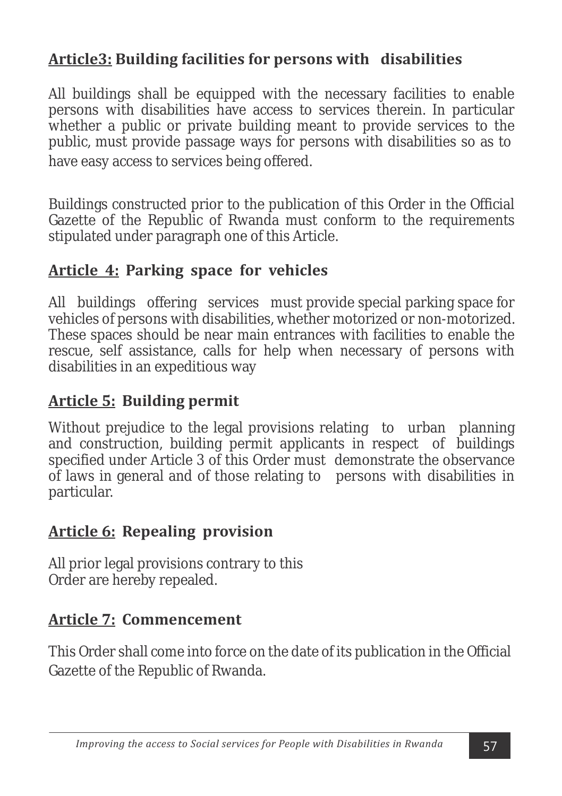# **Article3: Building facilities for persons with disabilities**

All buildings shall be equipped with the necessary facilities to enable persons with disabilities have access to services therein. In particular whether a public or private building meant to provide services to the public, must provide passage ways for persons with disabilities so as to have easy access to services being offered.

Buildings constructed prior to the publication of this Order in the Official Gazette of the Republic of Rwanda must conform to the requirements stipulated under paragraph one of this Article.

### **Article 4: Parking space for vehicles**

All buildings offering services must provide special parking space for vehicles of persons with disabilities, whether motorized or non-motorized. These spaces should be near main entrances with facilities to enable the rescue, self assistance, calls for help when necessary of persons with disabilities in an expeditious way

# **Article 5: Building permit**

Without prejudice to the legal provisions relating to urban planning and construction, building permit applicants in respect of buildings specified under Article 3 of this Order must demonstrate the observance of laws in general and of those relating to persons with disabilities in particular.

# **Article 6: Repealing provision**

All prior legal provisions contrary to this Order are hereby repealed.

### **Article 7: Commencement**

This Order shall come into force on the date of its publication in the Official Gazette of the Republic of Rwanda.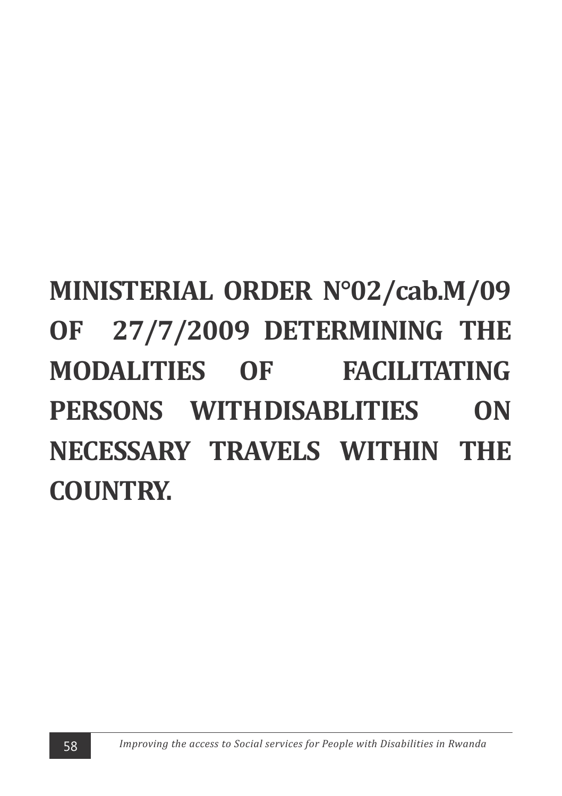# **MINISTERIAL ORDER N°02/cab.M/09 OF 27/7/2009 DETERMINING THE MODALITIES OF FACILITATING PERSONS WITHDISABLITIES ON NECESSARY TRAVELS WITHIN THE COUNTRY.**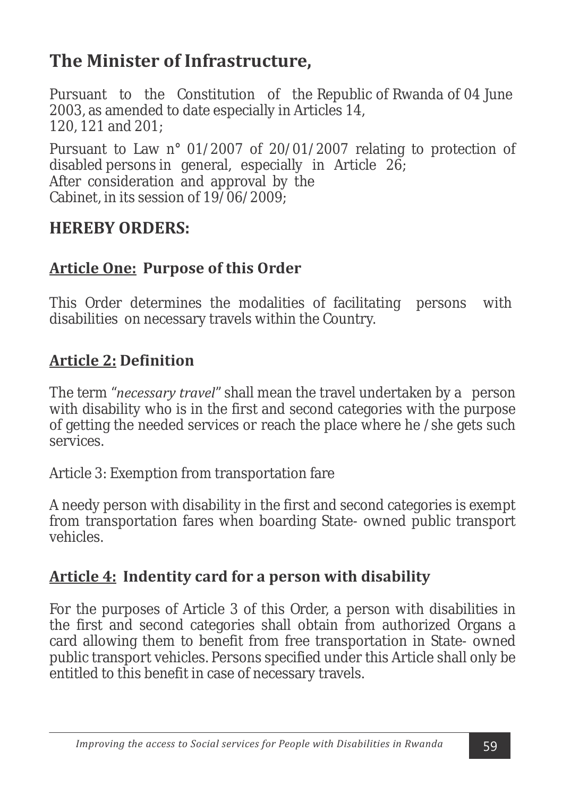# **The Minister of Infrastructure,**

Pursuant to the Constitution of the Republic of Rwanda of 04 June 2003, as amended to date especially in Articles 14, 120, 121 and 201;

Pursuant to Law n° 01/2007 of 20/01/2007 relating to protection of disabled persons in general, especially in Article 26; After consideration and approval by the Cabinet, in its session of 19/06/2009;

# **HEREBY ORDERS:**

# **Article One: Purpose of this Order**

This Order determines the modalities of facilitating persons with disabilities on necessary travels within the Country.

## **Article 2: Definition**

The term "*necessary travel*" shall mean the travel undertaken by a person with disability who is in the first and second categories with the purpose of getting the needed services or reach the place where he /she gets such services.

Article 3: Exemption from transportation fare

A needy person with disability in the first and second categories is exempt from transportation fares when boarding State- owned public transport vehicles.

### **Article 4: Indentity card for a person with disability**

For the purposes of Article 3 of this Order, a person with disabilities in the first and second categories shall obtain from authorized Organs a card allowing them to benefit from free transportation in State- owned public transport vehicles. Persons specified under this Article shall only be entitled to this benefit in case of necessary travels.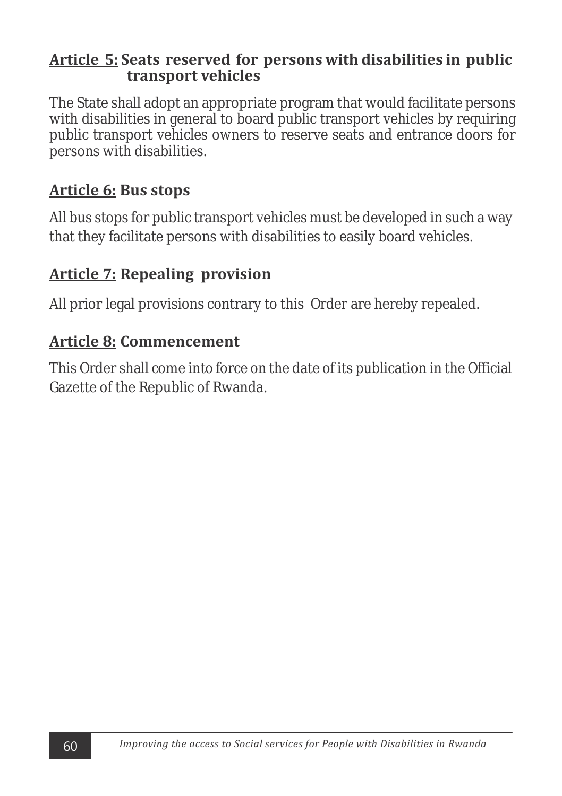#### **Article 5: Seats reserved for persons with disabilities in public transport vehicles**

The State shall adopt an appropriate program that would facilitate persons with disabilities in general to board public transport vehicles by requiring public transport vehicles owners to reserve seats and entrance doors for persons with disabilities.

### **Article 6: Bus stops**

All bus stops for public transport vehicles must be developed in such a way that they facilitate persons with disabilities to easily board vehicles.

### **Article 7: Repealing provision**

All prior legal provisions contrary to this Order are hereby repealed.

### **Article 8: Commencement**

This Order shall come into force on the date of its publication in the Official Gazette of the Republic of Rwanda.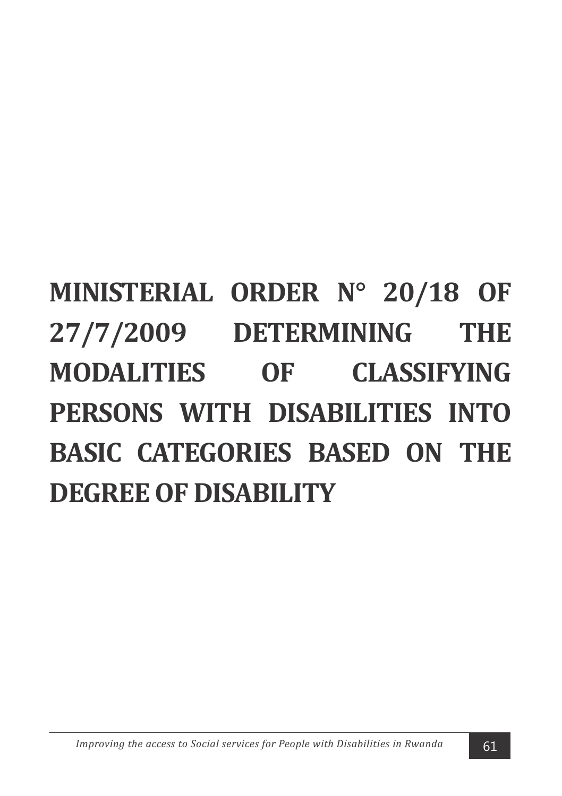# **MINISTERIAL ORDER N° 20/18 OF 27/7/2009 DETERMINING THE MODALITIES OF CLASSIFYING PERSONS WITH DISABILITIES INTO BASIC CATEGORIES BASED ON THE DEGREEOF DISABILITY**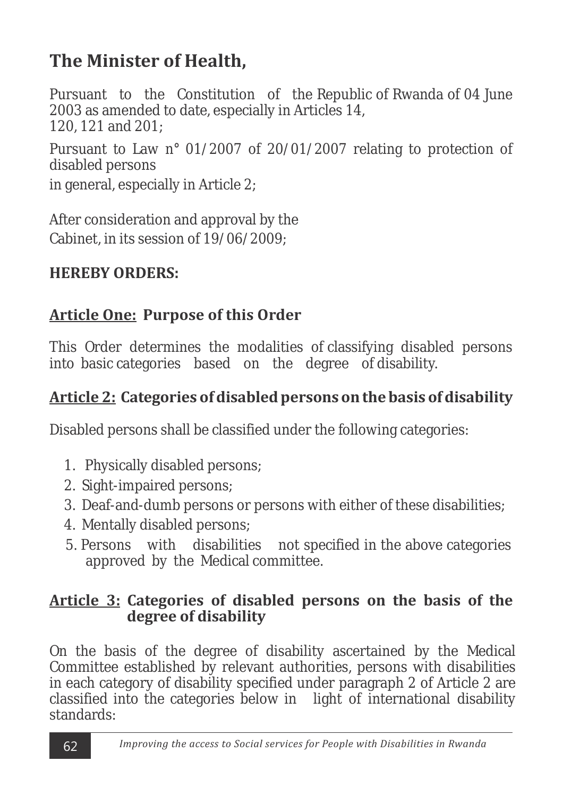# **The Minister of Health,**

Pursuant to the Constitution of the Republic of Rwanda of 04 June 2003 as amended to date, especially in Articles 14, 120, 121 and 201; Pursuant to Law n° 01/2007 of 20/01/2007 relating to protection of disabled persons in general, especially in Article 2;

After consideration and approval by the Cabinet, in its session of 19/06/2009;

# **HEREBY ORDERS:**

# **Article One: Purpose of this Order**

This Order determines the modalities of classifying disabled persons into basic categories based on the degree of disability.

# **Article 2: Categories ofdisabledpersonsonthebasis ofdisability**

Disabled persons shall be classified under the following categories:

- 1. Physically disabled persons;
- 2. Sight-impaired persons;
- 3. Deaf-and-dumb persons or persons with either of these disabilities;
- 4. Mentally disabled persons;
- 5. Persons with disabilities not specified in the above categories approved by the Medical committee.

### **Article 3: Categories of disabled persons on the basis of the degree of disability**

On the basis of the degree of disability ascertained by the Medical Committee established by relevant authorities, persons with disabilities in each category of disability specified under paragraph 2 of Article 2 are classified into the categories below in light of international disability standards: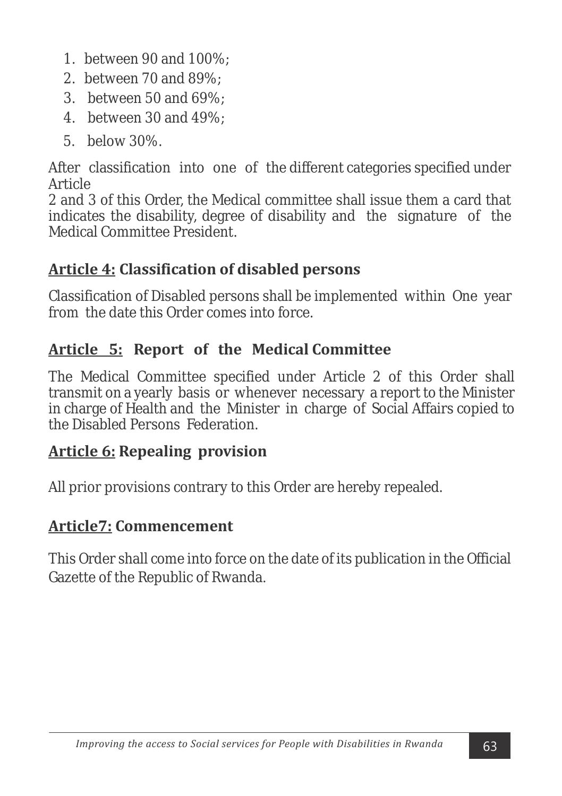- 1. between 90 and 100%;
- 2. between 70 and 89%;
- 3. between 50 and 69%;
- 4. between 30 and 49%;
- 5. below 30%.

After classification into one of the different categories specified under Article Article

2 and 3 of this Order, the Medical committee shall issue them a card that indicates the disability, degree of disability and the signature of the Medical Committee President.

### **Article 4: Classification of disabled persons**

Classification of Disabled persons shall be implemented within One year from the date this Order comes into force.

### **Article 5: Report of the Medical Committee**

The Medical Committee specified under Article 2 of this Order shall transmit on a yearly basis or whenever necessary a report to the Minister in charge of Health and the Minister in charge of Social Affairs copied to the Disabled Persons Federation.

### **Article 6: Repealing provision**

All prior provisions contrary to this Order are hereby repealed.

### **Article7: Commencement**

This Order shall come into force on the date of its publication in the Official Gazette of the Republic of Rwanda.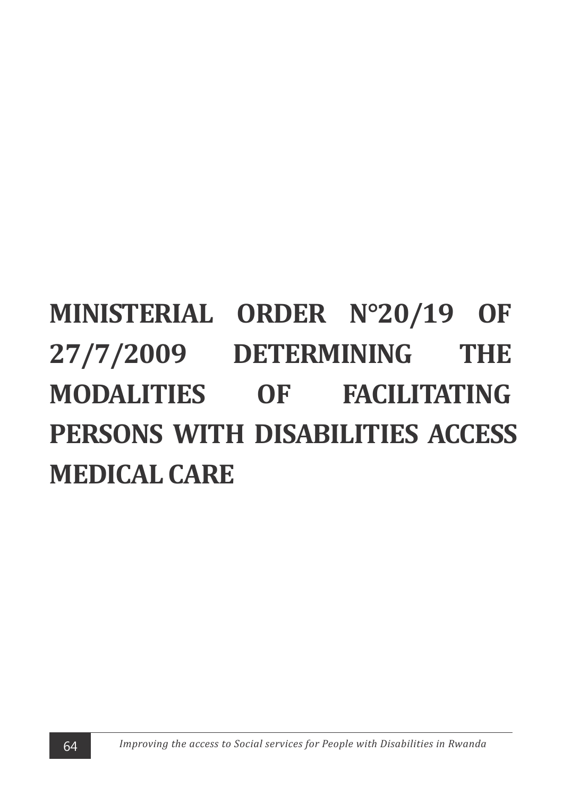# **MINISTERIAL ORDER N°20/19 OF 27/7/2009 DETERMINING THE MODALITIES OF FACILITATING PERSONS WITH DISABILITIES ACCESS MEDICAL CARE**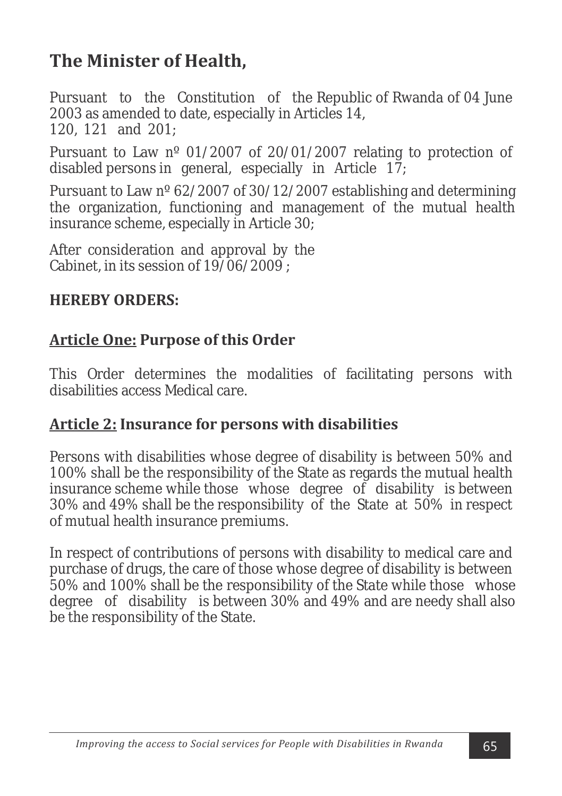# **The Minister of Health,**

Pursuant to the Constitution of the Republic of Rwanda of 04 June 2003 as amended to date, especially in Articles 14, 120, 121 and 201;

Pursuant to Law nº 01/2007 of 20/01/2007 relating to protection of disabled persons in general, especially in Article  $17$ ;

Pursuant to Law nº 62/2007 of 30/12/2007 establishing and determining the organization, functioning and management of the mutual health insurance scheme, especially in Article 30;

After consideration and approval by the Cabinet, in its session of 19/06/2009 ;

#### **HEREBY ORDERS:**

### **Article One: Purpose of this Order**

This Order determines the modalities of facilitating persons with disabilities access Medical care.

### **Article 2: Insurance for persons with disabilities**

Persons with disabilities whose degree of disability is between 50% and 100% shall be the responsibility of the State as regards the mutual health insurance scheme while those whose degree of disability is between 30% and 49% shall be the responsibility of the State at 50% in respect of mutual health insurance premiums.

In respect of contributions of persons with disability to medical care and purchase of drugs, the care of those whose degree of disability is between 50% and 100% shall be the responsibility of the State while those whose degree of disability is between 30% and 49% and are needy shall also be the responsibility of the State.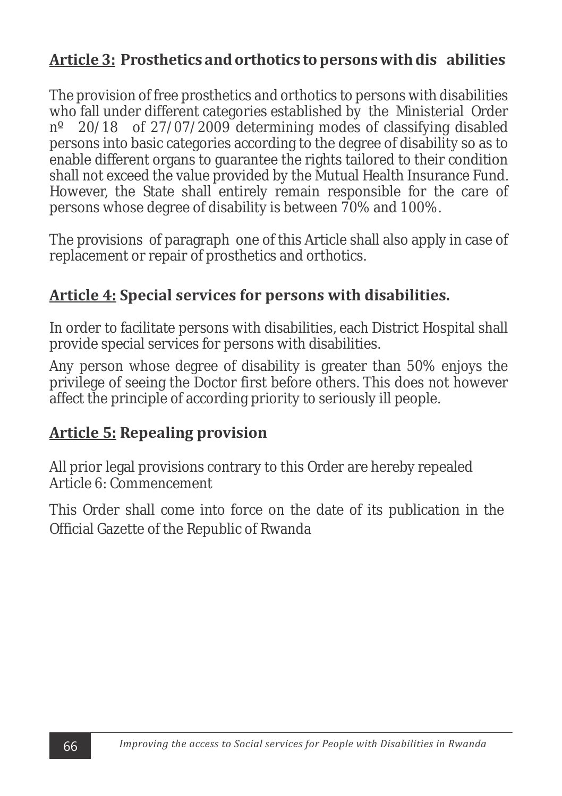### **Article 3: Prosthetics andorthotics topersonswithdis abilities**

The provision of free prosthetics and orthotics to persons with disabilities who fall under different categories established by the Ministerial Order nº 20/18 of 27/07/2009 determining modes of classifying disabled persons into basic categories according to the degree of disability so as to enable different organs to guarantee the rights tailored to their condition shall not exceed the value provided by the Mutual Health Insurance Fund. However, the State shall entirely remain responsible for the care of persons whose degree of disability is between 70% and 100%.

The provisions of paragraph one of this Article shall also apply in case of replacement or repair of prosthetics and orthotics.

### **Article 4: Special services for persons with disabilities.**

In order to facilitate persons with disabilities, each District Hospital shall provide special services for persons with disabilities.

Any person whose degree of disability is greater than 50% enjoys the privilege of seeing the Doctor first before others. This does not however affect the principle of according priority to seriously ill people.

### **Article 5: Repealing provision**

All prior legal provisions contrary to this Order are hereby repealed Article 6: Commencement

This Order shall come into force on the date of its publication in the Official Gazette of the Republic of Rwanda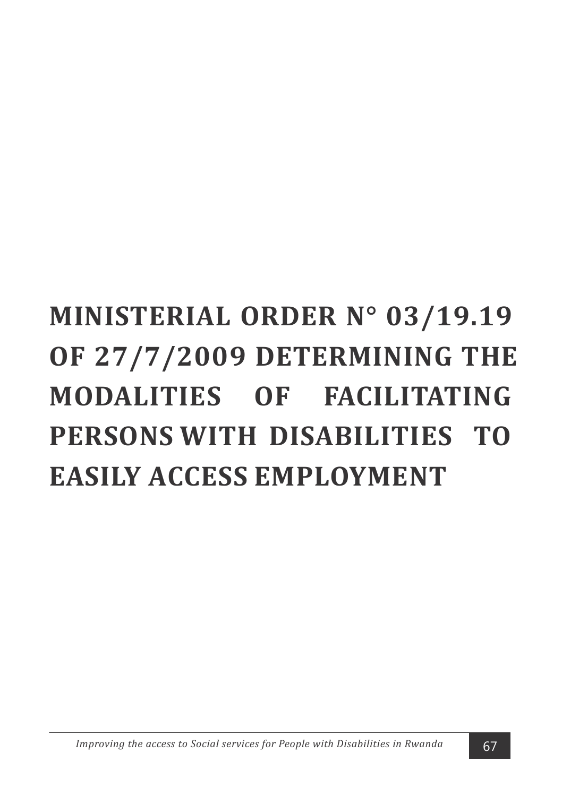# **MINISTERIAL ORDER N° 03/19.19 OF 27/7/2009 DETERMINING THE MODALITIES OF FACILITATING PERSONS WITH DISABILITIES TO EASILY ACCESS EMPLOYMENT**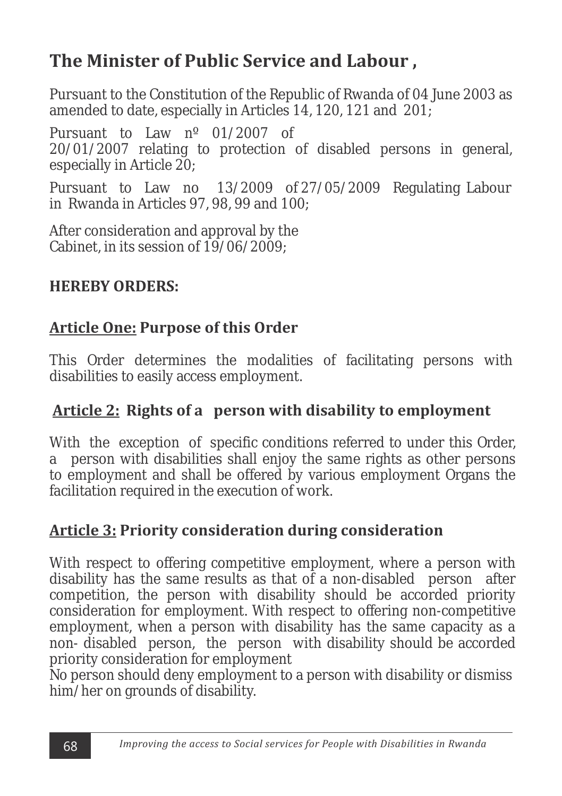# **The Minister of Public Service and Labour ,**

Pursuant to the Constitution of the Republic of Rwanda of 04 June 2003 as amended to date, especially in Articles 14, 120, 121 and 201;

Pursuant to Law nº 01/2007 of 20/01/2007 relating to protection of disabled persons in general, especially in Article 20;

Pursuant to Law no 13/2009 of 27/05/2009 Regulating Labour in Rwanda in Articles 97, 98, 99 and 100;

After consideration and approval by the Cabinet, in its session of 19/06/2009;

### **HEREBY ORDERS:**

# **Article One: Purpose of this Order**

This Order determines the modalities of facilitating persons with disabilities to easily access employment.

# **Article 2: Rights of a person with disability to employment**

With the exception of specific conditions referred to under this Order, a person with disabilities shall enjoy the same rights as other persons to employment and shall be offered by various employment Organs the facilitation required in the execution of work.

# **Article 3: Priority consideration during consideration**

With respect to offering competitive employment, where a person with disability has the same results as that of a non-disabled person after competition, the person with disability should be accorded priority consideration for employment. With respect to offering non-competitive employment, when a person with disability has the same capacity as a non- disabled person, the person with disability should be accorded priority consideration for employment

No person should deny employment to a person with disability or dismiss him/her on grounds of disability.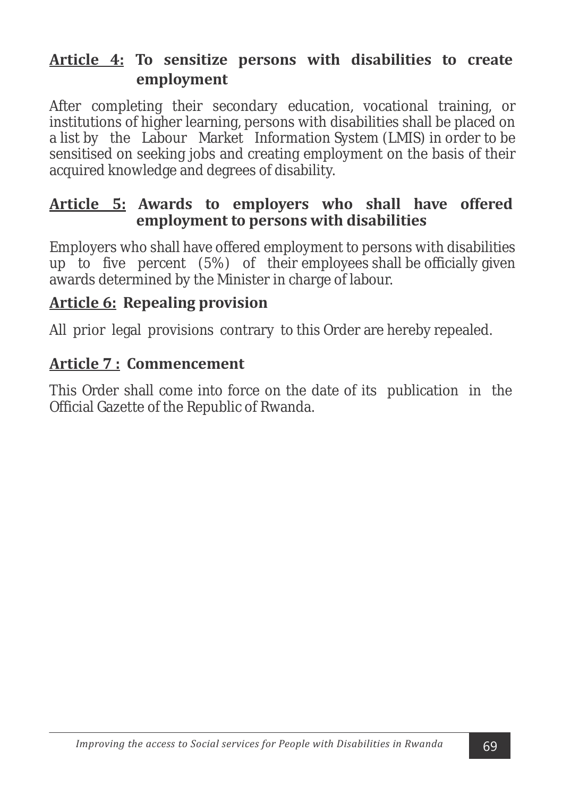### **Article 4: To sensitize persons with disabilities to create employment**

After completing their secondary education, vocational training, or institutions of higher learning, persons with disabilities shall be placed on a list by the Labour Market Information System (LMIS) in order to be sensitised on seeking jobs and creating employment on the basis of their acquired knowledge and degrees of disability.

#### **Article 5: Awards to employers who shall have offered employment to persons with disabilities**

Employers who shall have offered employment to persons with disabilities up to five percent (5%) of their employees shall be officially given awards determined by the Minister in charge of labour.

#### **Article 6: Repealing provision**

All prior legal provisions contrary to this Order are hereby repealed.

### **Article 7 : Commencement**

This Order shall come into force on the date of its publication in the Official Gazette of the Republic of Rwanda.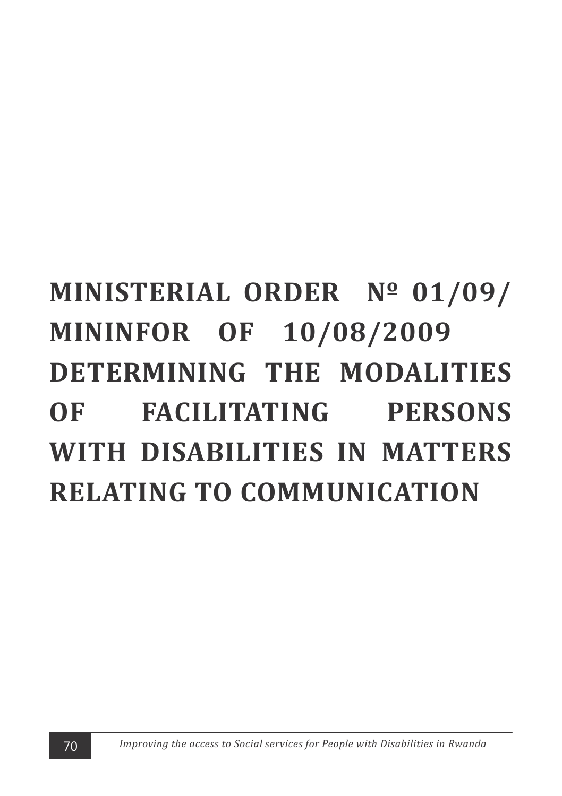# **MINISTERIAL ORDER Nº 01/09/ MININFOR OF 10/08/2009 DETERMINING THE MODALITIES OF FACILITATING PERSONS WITH DISABILITIES IN MATTERS RELATING TO COMMUNICATION**